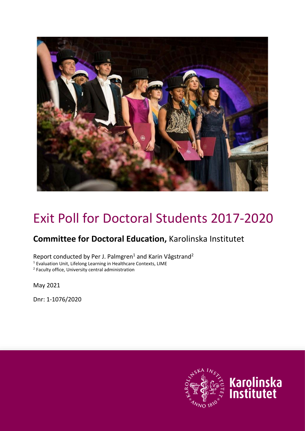

# Exit Poll for Doctoral Students 2017-2020

# **Committee for Doctoral Education,** Karolinska Institutet

Report conducted by Per J. Palmgren<sup>1</sup> and Karin Vågstrand<sup>2</sup>

<sup>1</sup> Evaluation Unit, Lifelong Learning in Healthcare Contexts, LIME

<sup>2</sup> Faculty office, University central administration

May 2021

Dnr: 1-1076/2020

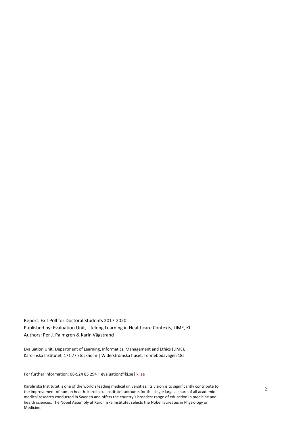Report: Exit Poll for Doctoral Students 2017-2020 Published by: Evaluation Unit, Lifelong Learning in Healthcare Contexts, LIME, KI Authors: Per J. Palmgren & Karin Vågstrand

Evaluation Unit, Department of Learning, Informatics, Management and Ethics (LIME), Karolinska Institutet, 171 77 Stockholm | Widerströmska huset, Tomtebodavägen 18a

For further information: 08-524 85 294 | evaluation@ki.se| [ki.se](http://ki.se/ki/jsp/polopoly.jsp%3bjsessionid=aMdk8ad4iRL6OYOdFn?l=en&d=130)

\_\_\_\_\_\_\_\_\_\_\_\_\_\_\_\_\_\_\_\_\_\_\_\_\_\_\_\_\_\_\_\_\_\_\_\_\_\_

Karolinska Institutet is one of the world's leading medical universities. Its vision is to significantly contribute to the improvement of human health. Karolinska Institutet accounts for the single largest share of all academic medical research conducted in Sweden and offers the country's broadest range of education in medicine and health sciences. The Nobel Assembly at Karolinska Institutet selects the Nobel laureates in Physiology or Medicine.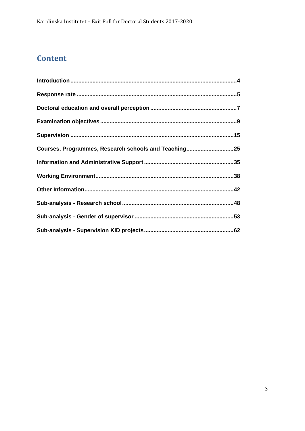# **Content**

| Courses, Programmes, Research schools and Teaching25 |
|------------------------------------------------------|
|                                                      |
|                                                      |
|                                                      |
|                                                      |
|                                                      |
|                                                      |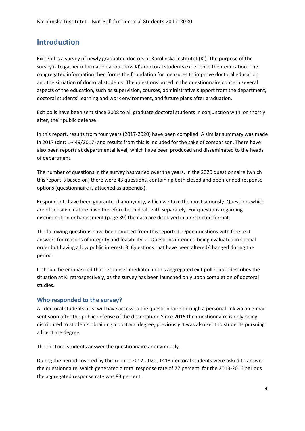## <span id="page-3-0"></span>**Introduction**

Exit Poll is a survey of newly graduated doctors at Karolinska Institutet (KI). The purpose of the survey is to gather information about how KI's doctoral students experience their education. The congregated information then forms the foundation for measures to improve doctoral education and the situation of doctoral students. The questions posed in the questionnaire concern several aspects of the education, such as supervision, courses, administrative support from the department, doctoral students' learning and work environment, and future plans after graduation.

Exit polls have been sent since 2008 to all graduate doctoral students in conjunction with, or shortly after, their public defense.

In this report, results from four years (2017-2020) have been compiled. A similar summary was made in 2017 (dnr: 1-449/2017) and results from this is included for the sake of comparison. There have also been reports at departmental level, which have been produced and disseminated to the heads of department.

The number of questions in the survey has varied over the years. In the 2020 questionnaire (which this report is based on) there were 43 questions, containing both closed and open-ended response options (questionnaire is attached as appendix).

Respondents have been guaranteed anonymity, which we take the most seriously. Questions which are of sensitive nature have therefore been dealt with separately. For questions regarding discrimination or harassment (page 39) the data are displayed in a restricted format.

The following questions have been omitted from this report: 1. Open questions with free text answers for reasons of integrity and feasibility. 2. Questions intended being evaluated in special order but having a low public interest. 3. Questions that have been altered/changed during the period.

It should be emphasized that responses mediated in this aggregated exit poll report describes the situation at KI retrospectively, as the survey has been launched only upon completion of doctoral studies.

#### **Who responded to the survey?**

All doctoral students at KI will have access to the questionnaire through a personal link via an e-mail sent soon after the public defense of the dissertation. Since 2015 the questionnaire is only being distributed to students obtaining a doctoral degree, previously it was also sent to students pursuing a licentiate degree.

The doctoral students answer the questionnaire anonymously.

During the period covered by this report, 2017-2020, 1413 doctoral students were asked to answer the questionnaire, which generated a total response rate of 77 percent, for the 2013-2016 periods the aggregated response rate was 83 percent.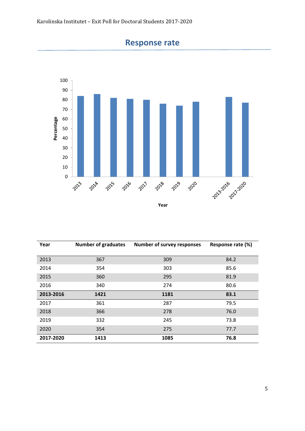<span id="page-4-0"></span>

# **Response rate**

| Year      | <b>Number of graduates</b> | <b>Number of survey responses</b> | Response rate (%) |
|-----------|----------------------------|-----------------------------------|-------------------|
| 2013      | 367                        | 309                               | 84.2              |
| 2014      | 354                        | 303                               | 85.6              |
| 2015      | 360                        | 295                               | 81.9              |
| 2016      | 340                        | 274                               | 80.6              |
| 2013-2016 | 1421                       | 1181                              | 83.1              |
| 2017      | 361                        | 287                               | 79.5              |
| 2018      | 366                        | 278                               | 76.0              |
| 2019      | 332                        | 245                               | 73.8              |
| 2020      | 354                        | 275                               | 77.7              |
| 2017-2020 | 1413                       | 1085                              | 76.8              |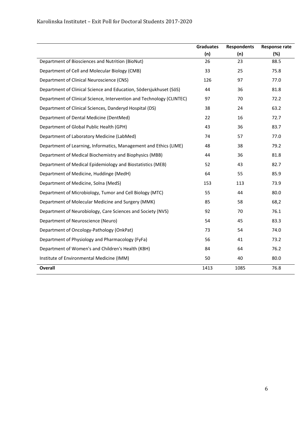#### Karolinska Institutet – Exit Poll for Doctoral Students 2017-2020

|                                                                       | <b>Graduates</b> | <b>Respondents</b> | Response rate |
|-----------------------------------------------------------------------|------------------|--------------------|---------------|
|                                                                       | (n)              | (n)                | (%)           |
| Department of Biosciences and Nutrition (BioNut)                      | 26               | 23                 | 88.5          |
| Department of Cell and Molecular Biology (CMB)                        | 33               | 25                 | 75.8          |
| Department of Clinical Neuroscience (CNS)                             | 126              | 97                 | 77.0          |
| Department of Clinical Science and Education, Södersjukhuset (SöS)    | 44               | 36                 | 81.8          |
| Department of Clinical Science, Intervention and Technology (CLINTEC) | 97               | 70                 | 72.2          |
| Department of Clinical Sciences, Danderyd Hospital (DS)               | 38               | 24                 | 63.2          |
| Department of Dental Medicine (DentMed)                               | 22               | 16                 | 72.7          |
| Department of Global Public Health (GPH)                              | 43               | 36                 | 83.7          |
| Department of Laboratory Medicine (LabMed)                            | 74               | 57                 | 77.0          |
| Department of Learning, Informatics, Management and Ethics (LIME)     | 48               | 38                 | 79.2          |
| Department of Medical Biochemistry and Biophysics (MBB)               | 44               | 36                 | 81.8          |
| Department of Medical Epidemiology and Biostatistics (MEB)            | 52               | 43                 | 82.7          |
| Department of Medicine, Huddinge (MedH)                               | 64               | 55                 | 85.9          |
| Department of Medicine, Solna (MedS)                                  | 153              | 113                | 73.9          |
| Department of Microbiology, Tumor and Cell Biology (MTC)              | 55               | 44                 | 80.0          |
| Department of Molecular Medicine and Surgery (MMK)                    | 85               | 58                 | 68,2          |
| Department of Neurobiology, Care Sciences and Society (NVS)           | 92               | 70                 | 76.1          |
| Department of Neuroscience (Neuro)                                    | 54               | 45                 | 83.3          |
| Department of Oncology-Pathology (OnkPat)                             | 73               | 54                 | 74.0          |
| Department of Physiology and Pharmacology (FyFa)                      | 56               | 41                 | 73.2          |
| Department of Women's and Children's Health (KBH)                     | 84               | 64                 | 76.2          |
| Institute of Environmental Medicine (IMM)                             | 50               | 40                 | 80.0          |
| <b>Overall</b>                                                        | 1413             | 1085               | 76.8          |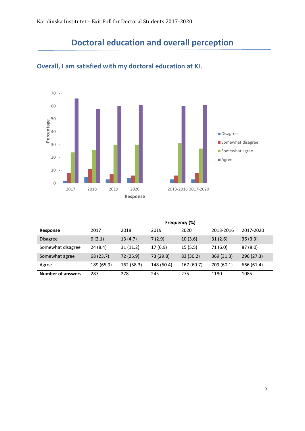# **Doctoral education and overall perception**



## <span id="page-6-0"></span>**Overall, I am satisfied with my doctoral education at KI.**

|                          | Frequency (%) |            |            |            |            |            |  |  |
|--------------------------|---------------|------------|------------|------------|------------|------------|--|--|
| Response                 | 2017          | 2018       | 2019       | 2020       | 2013-2016  | 2017-2020  |  |  |
| <b>Disagree</b>          | 6(2.1)        | 13(4.7)    | 7(2.9)     | 10(3.6)    | 31(2.6)    | 36(3.3)    |  |  |
| Somewhat disagree        | 24 (8.4)      | 31(11.2)   | 17(6.9)    | 15(5.5)    | 71 (6.0)   | 87(8.0)    |  |  |
| Somewhat agree           | 68 (23.7)     | 72 (25.9)  | 73 (29.8)  | 83 (30.2)  | 369(31.3)  | 296 (27.3) |  |  |
| Agree                    | 189 (65.9)    | 162 (58.3) | 148 (60.4) | 167 (60.7) | 709 (60.1) | 666 (61.4) |  |  |
| <b>Number of answers</b> | 287           | 278        | 245        | 275        | 1180       | 1085       |  |  |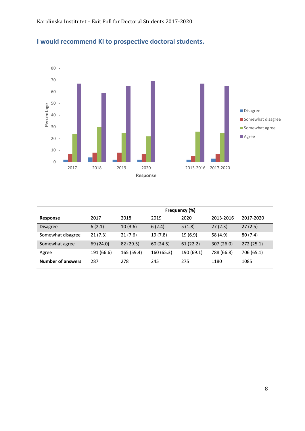

# **I would recommend KI to prospective doctoral students.**

|                          | Frequency (%) |            |            |            |            |            |
|--------------------------|---------------|------------|------------|------------|------------|------------|
| Response                 | 2017          | 2018       | 2019       | 2020       | 2013-2016  | 2017-2020  |
| <b>Disagree</b>          | 6(2.1)        | 10(3.6)    | 6(2.4)     | 5(1.8)     | 27(2.3)    | 27(2.5)    |
| Somewhat disagree        | 21(7.3)       | 21(7.6)    | 19(7.8)    | 19 (6.9)   | 58 (4.9)   | 80(7.4)    |
| Somewhat agree           | 69 (24.0)     | 82 (29.5)  | 60 (24.5)  | 61(22.2)   | 307 (26.0) | 272(25.1)  |
| Agree                    | 191 (66.6)    | 165 (59.4) | 160 (65.3) | 190 (69.1) | 788 (66.8) | 706 (65.1) |
| <b>Number of answers</b> | 287           | 278        | 245        | 275        | 1180       | 1085       |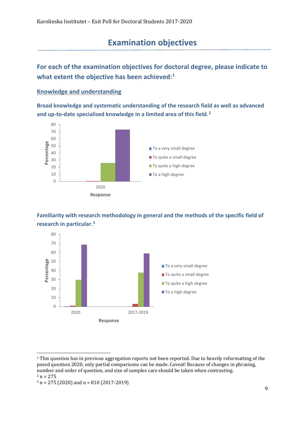# **Examination objectives**

<span id="page-8-0"></span>**For each of the examination objectives for doctoral degree, please indicate to what extent the objective has been achieved:[1](#page-8-1)**

#### **Knowledge and understanding**

**Broad knowledge and systematic understanding of the research field as well as advanced and up-to-date specialised knowledge in a limited area of this field. [2](#page-8-2)**



#### **Familiarity with research methodology in general and the methods of the specific field of research in particular.[3](#page-8-3)**



<span id="page-8-1"></span><sup>1</sup> This question has in previous aggregation reports not been reported. Due to heavily reformatting of the posed question 2020, only partial comparisons can be made. Caveat! Because of changes in phrasing, number and order of question, and size of samples care should be taken when contrasting.<br> $2 n = 275$ 

```
3 n = 275 (2020) and n = 810 (2017 - 2019)
```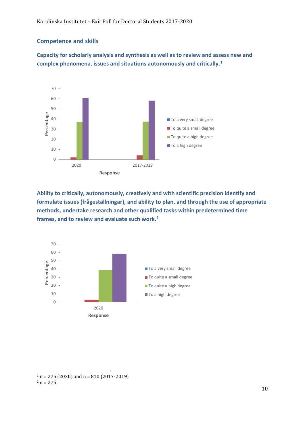#### **Competence and skills**

**Capacity for scholarly analysis and synthesis as well as to review and assess new and complex phenomena, issues and situations autonomously and critically.[1](#page-9-0)**



**Ability to critically, autonomously, creatively and with scientific precision identify and formulate issues (frågeställningar), and ability to plan, and through the use of appropriate methods, undertake research and other qualified tasks within predetermined time frames, and to review and evaluate such work.[2](#page-9-1)**



<span id="page-9-1"></span><span id="page-9-0"></span> $1 n = 275 (2020)$  and  $n = 810 (2017 - 2019)$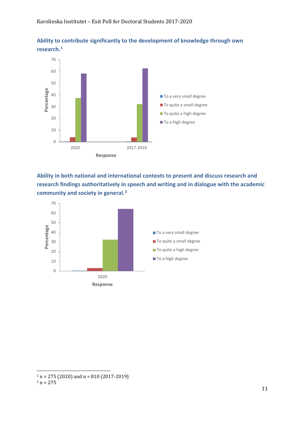



**Ability in both national and international contexts to present and discuss research and research findings authoritatively in speech and writing and in dialogue with the academic community and society in general.[2](#page-10-1)**



<span id="page-10-1"></span><span id="page-10-0"></span> $1 n = 275 (2020)$  and  $n = 810 (2017 - 2019)$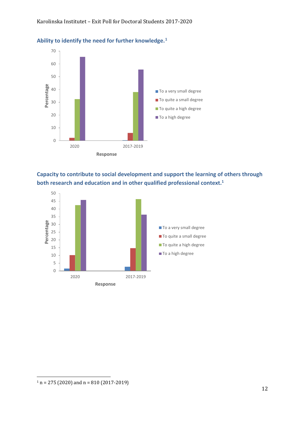

#### **Ability to identify the need for further knowledge.[1](#page-11-0)**

**Capacity to contribute to social development and support the learning of others through both research and education and in other qualified professional context. 1**

<span id="page-11-0"></span>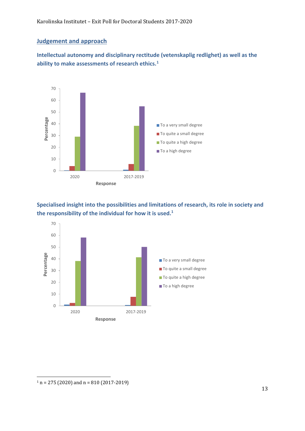#### **Judgement and approach**

**Intellectual autonomy and disciplinary rectitude (vetenskaplig redlighet) as well as the ability to make assessments of research ethics.[1](#page-12-0)**



**Specialised insight into the possibilities and limitations of research, its role in society and the responsibility of the individual for how it is used. 1**

<span id="page-12-0"></span>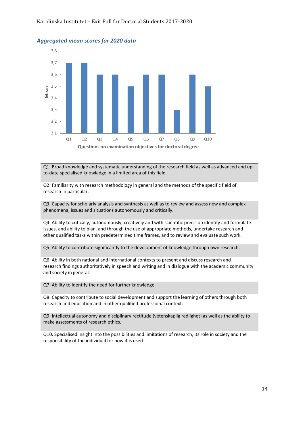

#### *Aggregated mean scores for 2020 data*

Q1. Broad knowledge and systematic understanding of the research field as well as advanced and upto-date specialised knowledge in a limited area of this field.

Q2. Familiarity with research methodology in general and the methods of the specific field of research in particular.

Q3. Capacity for scholarly analysis and synthesis as well as to review and assess new and complex phenomena, issues and situations autonomously and critically.

Q4. Ability to critically, autonomously, creatively and with scientific precision identify and formulate issues, and ability to plan, and through the use of appropriate methods, undertake research and other qualified tasks within predetermined time frames, and to review and evaluate such work.

Q5. Ability to contribute significantly to the development of knowledge through own research.

Q6. Ability in both national and international contexts to present and discuss research and research findings authoritatively in speech and writing and in dialogue with the academic community and society in general.

Q7. Ability to identify the need for further knowledge.

Q8. Capacity to contribute to social development and support the learning of others through both research and education and in other qualified professional context.

Q9. Intellectual autonomy and disciplinary rectitude (vetenskaplig redlighet) as well as the ability to make assessments of research ethics.

Q10. Specialised insight into the possibilities and limitations of research, its role in society and the responsibility of the individual for how it is used.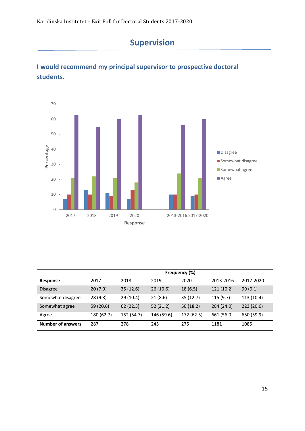

# <span id="page-14-0"></span>**I would recommend my principal supervisor to prospective doctoral students.**



|                          | Frequency (%) |            |            |            |            |            |  |
|--------------------------|---------------|------------|------------|------------|------------|------------|--|
| Response                 | 2017          | 2018       | 2019       | 2020       | 2013-2016  | 2017-2020  |  |
| <b>Disagree</b>          | 20(7.0)       | 35(12.6)   | 26(10.6)   | 18(6.5)    | 121(10.2)  | 99(9.1)    |  |
| Somewhat disagree        | 28(9.8)       | 29(10.4)   | 21(8.6)    | 35(12.7)   | 115(9.7)   | 113 (10.4) |  |
| Somewhat agree           | 59 (20.6)     | 62(22.3)   | 52(21.2)   | 50(18.2)   | 284 (24.0) | 223 (20.6) |  |
| Agree                    | 180 (62.7)    | 152 (54.7) | 146 (59.6) | 172 (62.5) | 661 (56.0) | 650 (59,9) |  |
| <b>Number of answers</b> | 287           | 278        | 245        | 275        | 1181       | 1085       |  |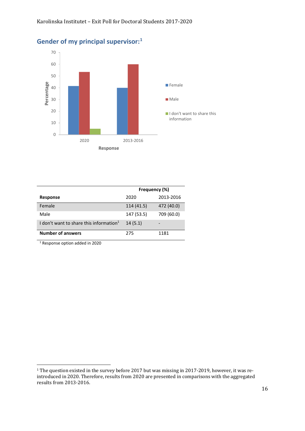

#### **Gender of my principal supervisor: [1](#page-15-0)**

|                                                     | Frequency (%) |            |  |  |
|-----------------------------------------------------|---------------|------------|--|--|
| <b>Response</b>                                     | 2020          | 2013-2016  |  |  |
| Female                                              | 114 (41.5)    | 472 (40.0) |  |  |
| Male                                                | 147 (53.5)    | 709 (60.0) |  |  |
| I don't want to share this information <sup>1</sup> | 14(5.1)       |            |  |  |
| <b>Number of answers</b>                            | 275           | 1181       |  |  |

<sup>1</sup> Response option added in 2020

<span id="page-15-0"></span><sup>&</sup>lt;sup>1</sup> The question existed in the survey before 2017 but was missing in 2017-2019, however, it was reintroduced in 2020. Therefore, results from 2020 are presented in comparisons with the aggregated results from 2013-2016.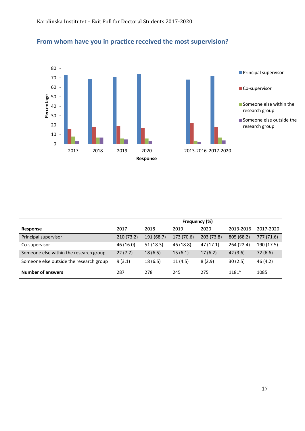

## **From whom have you in practice received the most supervision?**

|                                         | Frequency (%) |            |            |            |            |            |
|-----------------------------------------|---------------|------------|------------|------------|------------|------------|
| Response                                | 2017          | 2018       | 2019       | 2020       | 2013-2016  | 2017-2020  |
| Principal supervisor                    | 210 (73.2)    | 191 (68.7) | 173 (70.6) | 203 (73.8) | 805 (68.2) | 777 (71.6) |
| Co-supervisor                           | 46 (16.0)     | 51(18.3)   | 46 (18.8)  | 47(17.1)   | 264 (22.4) | 190 (17.5) |
| Someone else within the research group  | 22(7.7)       | 18(6.5)    | 15(6.1)    | 17(6.2)    | 42(3.6)    | 72 (6.6)   |
| Someone else outside the research group | 9(3.1)        | 18(6.5)    | 11(4.5)    | 8(2.9)     | 30(2.5)    | 46 (4.2)   |
| <b>Number of answers</b>                | 287           | 278        | 245        | 275        | $1181^a$   | 1085       |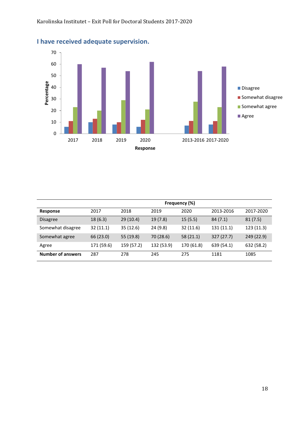

# **I have received adequate supervision.**

|                          | Frequency (%) |            |            |            |            |            |  |
|--------------------------|---------------|------------|------------|------------|------------|------------|--|
| Response                 | 2017          | 2018       | 2019       | 2020       | 2013-2016  | 2017-2020  |  |
| <b>Disagree</b>          | 18(6.3)       | 29(10.4)   | 19(7.8)    | 15(5.5)    | 84(7.1)    | 81(7.5)    |  |
| Somewhat disagree        | 32(11.1)      | 35(12.6)   | 24(9.8)    | 32(11.6)   | 131 (11.1) | 123 (11.3) |  |
| Somewhat agree           | 66 (23.0)     | 55 (19.8)  | 70 (28.6)  | 58(21.1)   | 327(27.7)  | 249 (22.9) |  |
| Agree                    | 171 (59.6)    | 159 (57.2) | 132 (53.9) | 170 (61.8) | 639 (54.1) | 632 (58.2) |  |
| <b>Number of answers</b> | 287           | 278        | 245        | 275        | 1181       | 1085       |  |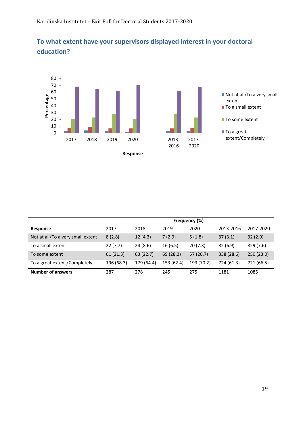

## **To what extent have your supervisors displayed interest in your doctoral education?**

|                                   | Frequency (%) |            |            |            |            |            |
|-----------------------------------|---------------|------------|------------|------------|------------|------------|
| <b>Response</b>                   | 2017          | 2018       | 2019       | 2020       | 2013-2016  | 2017-2020  |
| Not at all/To a very small extent | 8(2.8)        | 12(4.3)    | 7(2.9)     | 5(1.8)     | 37(3.1)    | 32(2.9)    |
| To a small extent                 | 22(7.7)       | 24(8.6)    | 16(6.5)    | 20(7.3)    | 82(6.9)    | 829 (7.6)  |
| To some extent                    | 61(21.3)      | 63(22.7)   | 69 (28.2)  | 57(20.7)   | 338 (28.6) | 250 (23.0) |
| To a great extent/Completely      | 196 (68.3)    | 179 (64.4) | 153 (62.4) | 193 (70.2) | 724 (61.3) | 721 (66.5) |
| <b>Number of answers</b>          | 287           | 278        | 245        | 275        | 1181       | 1085       |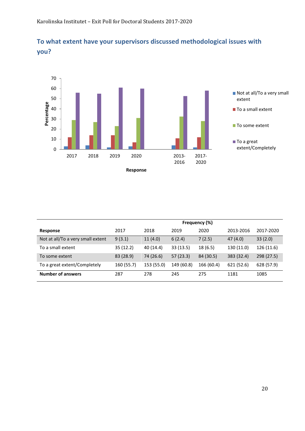



|                                   | Frequency (%) |            |            |            |            |            |
|-----------------------------------|---------------|------------|------------|------------|------------|------------|
| Response                          | 2017          | 2018       | 2019       | 2020       | 2013-2016  | 2017-2020  |
| Not at all/To a very small extent | 9(3.1)        | 11(4.0)    | 6(2.4)     | 7(2.5)     | 47(4.0)    | 33(2.0)    |
| To a small extent                 | 35(12.2)      | 40 (14.4)  | 33(13.5)   | 18(6.5)    | 130 (11.0) | 126 (11.6) |
| To some extent                    | 83 (28.9)     | 74 (26.6)  | 57(23.3)   | 84 (30.5)  | 383 (32.4) | 298 (27.5) |
| To a great extent/Completely      | 160 (55.7)    | 153 (55.0) | 149 (60.8) | 166 (60.4) | 621 (52.6) | 628 (57.9) |
| <b>Number of answers</b>          | 287           | 278        | 245        | 275        | 1181       | 1085       |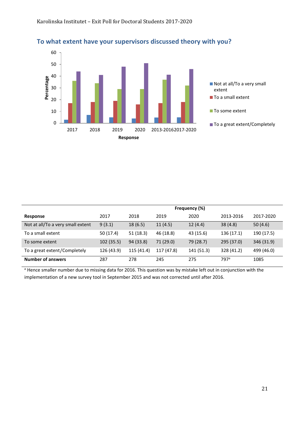

|                                   | Frequency (%) |            |            |            |                  |            |  |
|-----------------------------------|---------------|------------|------------|------------|------------------|------------|--|
| Response                          | 2017          | 2018       | 2019       | 2020       | 2013-2016        | 2017-2020  |  |
| Not at all/To a very small extent | 9(3.1)        | 18(6.5)    | 11(4.5)    | 12(4.4)    | 38(4.8)          | 50(4.6)    |  |
| To a small extent                 | 50 (17.4)     | 51 (18.3)  | 46 (18.8)  | 43 (15.6)  | 136 (17.1)       | 190 (17.5) |  |
| To some extent                    | 102(35.5)     | 94 (33.8)  | 71 (29.0)  | 79 (28.7)  | 295 (37.0)       | 346 (31.9) |  |
| To a great extent/Completely      | 126 (43.9)    | 115 (41.4) | 117 (47.8) | 141 (51.3) | 328 (41.2)       | 499 (46.0) |  |
| <b>Number of answers</b>          | 287           | 278        | 245        | 275        | 797 <sup>a</sup> | 1085       |  |

**To what extent have your supervisors discussed theory with you?** 

a Hence smaller number due to missing data for 2016. This question was by mistake left out in conjunction with the implementation of a new survey tool in September 2015 and was not corrected until after 2016.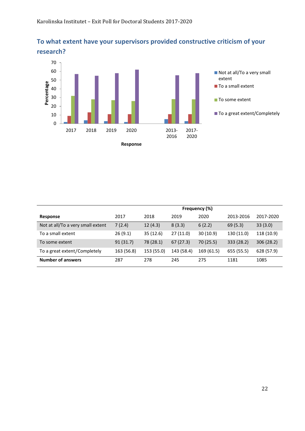

# **To what extent have your supervisors provided constructive criticism of your**

|                                   | Frequency (%) |            |            |            |            |            |  |
|-----------------------------------|---------------|------------|------------|------------|------------|------------|--|
| Response                          | 2017          | 2018       | 2019       | 2020       | 2013-2016  | 2017-2020  |  |
| Not at all/To a very small extent | 7(2.4)        | 12(4.3)    | 8(3.3)     | 6(2.2)     | 69(5.3)    | 33(3.0)    |  |
| To a small extent                 | 26(9.1)       | 35(12.6)   | 27(11.0)   | 30(10.9)   | 130 (11.0) | 118 (10.9) |  |
| To some extent                    | 91(31.7)      | 78 (28.1)  | 67(27.3)   | 70 (25.5)  | 333 (28.2) | 306(28.2)  |  |
| To a great extent/Completely      | 163 (56.8)    | 153 (55.0) | 143 (58.4) | 169 (61.5) | 655 (55.5) | 628 (57.9) |  |
| <b>Number of answers</b>          | 287           | 278        | 245        | 275        | 1181       | 1085       |  |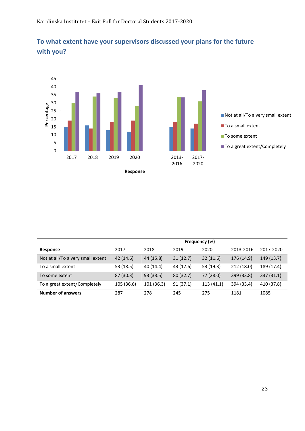

# **To what extent have your supervisors discussed your plans for the future with you?**

|                                   | Frequency (%) |            |           |           |            |            |  |
|-----------------------------------|---------------|------------|-----------|-----------|------------|------------|--|
| Response                          | 2017          | 2018       | 2019      | 2020      | 2013-2016  | 2017-2020  |  |
| Not at all/To a very small extent | 42 (14.6)     | 44 (15.8)  | 31(12.7)  | 32(11.6)  | 176 (14.9) | 149 (13.7) |  |
| To a small extent                 | 53 (18.5)     | 40 (14.4)  | 43 (17.6) | 53 (19.3) | 212 (18.0) | 189 (17.4) |  |
| To some extent                    | 87 (30.3)     | 93 (33.5)  | 80(32.7)  | 77 (28.0) | 399 (33.8) | 337(31.1)  |  |
| To a great extent/Completely      | 105 (36.6)    | 101 (36.3) | 91(37.1)  | 113(41.1) | 394 (33.4) | 410 (37.8) |  |
| <b>Number of answers</b>          | 287           | 278        | 245       | 275       | 1181       | 1085       |  |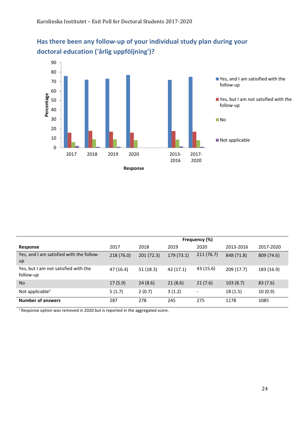

# **Has there been any follow-up of your individual study plan during your doctoral education ('årlig uppföljning')?**

|                                                   | Frequency (%) |           |            |                          |            |            |  |
|---------------------------------------------------|---------------|-----------|------------|--------------------------|------------|------------|--|
| Response                                          | 2017          | 2018      | 2019       | 2020                     | 2013-2016  | 2017-2020  |  |
| Yes, and I am satisfied with the follow-<br>up    | 218 (76.0)    | 201(72.3) | 179 (73.1) | 211(76.7)                | 848 (71.8) | 809 (74.6) |  |
| Yes, but I am not satisfied with the<br>follow-up | 47 (16.4)     | 51 (18.3) | 42 (17.1)  | 43 (15.6)                | 209(17.7)  | 183 (16.9) |  |
| <b>No</b>                                         | 17(5.9)       | 24(8.6)   | 21(8.6)    | 21(7.6)                  | 103(8.7)   | 83(7.6)    |  |
| Not applicable $1$                                | 5(1.7)        | 2(0.7)    | 3(1.2)     | $\overline{\phantom{a}}$ | 18(1.5)    | 10(0.9)    |  |
| <b>Number of answers</b>                          | 287           | 278       | 245        | 275                      | 1178       | 1085       |  |

<sup>1</sup> Response option was removed in 2020 but is reported in the aggregated score.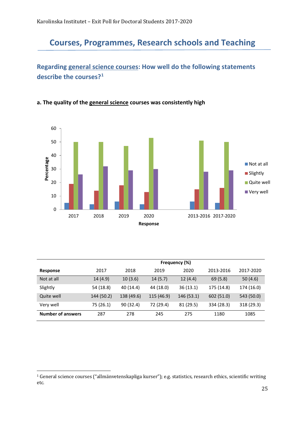# <span id="page-24-0"></span>**Courses, Programmes, Research schools and Teaching**

## **Regarding general science courses: How well do the following statements describe the courses?[1](#page-24-1)**

#### **a. The quality of the general science courses was consistently high**



|                          | Frequency (%) |            |            |            |            |            |  |  |
|--------------------------|---------------|------------|------------|------------|------------|------------|--|--|
| <b>Response</b>          | 2017          | 2018       | 2019       | 2020       | 2013-2016  | 2017-2020  |  |  |
| Not at all               | 14(4.9)       | 10(3.6)    | 14(5.7)    | 12(4.4)    | 69(5.8)    | 50(4.6)    |  |  |
| Slightly                 | 54 (18.8)     | 40 (14.4)  | 44 (18.0)  | 36(13.1)   | 175 (14.8) | 174 (16.0) |  |  |
| Quite well               | 144 (50.2)    | 138 (49.6) | 115 (46.9) | 146 (53.1) | 602 (51.0) | 543 (50.0) |  |  |
| Very well                | 75 (26.1)     | 90 (32.4)  | 72 (29.4)  | 81 (29.5)  | 334 (28.3) | 318 (29.3) |  |  |
| <b>Number of answers</b> | 287           | 278        | 245        | 275        | 1180       | 1085       |  |  |

<span id="page-24-1"></span><sup>1</sup> General science courses ("allmänvetenskapliga kurser"); e.g. statistics, research ethics, scientific writing etc.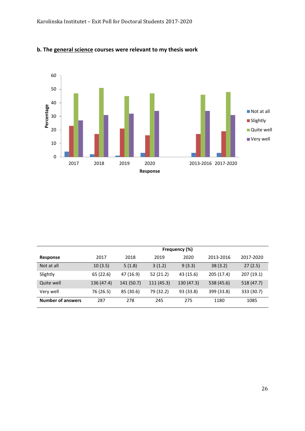

#### **b. The general science courses were relevant to my thesis work**

|                          | Frequency (%) |            |            |            |            |            |  |  |
|--------------------------|---------------|------------|------------|------------|------------|------------|--|--|
| Response                 | 2017          | 2018       | 2019       | 2020       | 2013-2016  | 2017-2020  |  |  |
| Not at all               | 10(3.5)       | 5(1.8)     | 3(1.2)     | 9(3.3)     | 38(3.2)    | 27(2.5)    |  |  |
| Slightly                 | 65 (22.6)     | 47 (16.9)  | 52(21.2)   | 43 (15.6)  | 205 (17.4) | 207 (19.1) |  |  |
| Quite well               | 136 (47.4)    | 141 (50.7) | 111 (45.3) | 130 (47.3) | 538 (45.6) | 518 (47.7) |  |  |
| Very well                | 76 (26.5)     | 85 (30.6)  | 79 (32.2)  | 93 (33.8)  | 399 (33.8) | 333 (30.7) |  |  |
| <b>Number of answers</b> | 287           | 278        | 245        | 275        | 1180       | 1085       |  |  |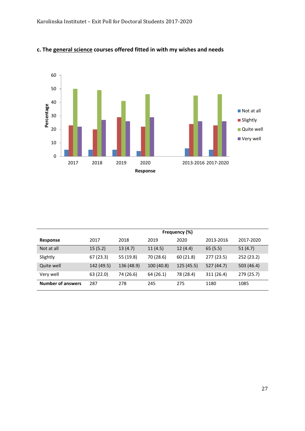

#### **c. The general science courses offered fitted in with my wishes and needs**

|                          | Frequency (%) |            |            |           |            |            |  |
|--------------------------|---------------|------------|------------|-----------|------------|------------|--|
| <b>Response</b>          | 2017          | 2018       | 2019       | 2020      | 2013-2016  | 2017-2020  |  |
| Not at all               | 15(5.2)       | 13(4.7)    | 11(4.5)    | 12(4.4)   | 65(5.5)    | 51(4.7)    |  |
| Slightly                 | 67(23.3)      | 55 (19.8)  | 70 (28.6)  | 60 (21.8) | 277 (23.5) | 252 (23.2) |  |
| Quite well               | 142 (49.5)    | 136 (48.9) | 100 (40.8) | 125(45.5) | 527 (44.7) | 503 (46.4) |  |
| Very well                | 63 (22.0)     | 74 (26.6)  | 64(26.1)   | 78 (28.4) | 311 (26.4) | 279 (25.7) |  |
| <b>Number of answers</b> | 287           | 278        | 245        | 275       | 1180       | 1085       |  |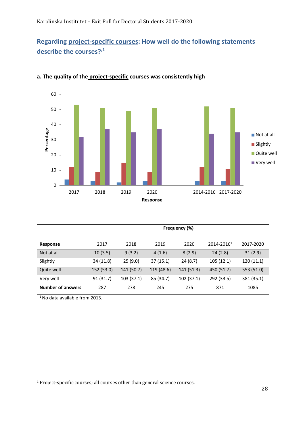## **Regarding project-specific courses: How well do the following statements describe the courses?,[1](#page-27-0)**



#### **a. The quality of the project-specific courses was consistently high**

|                          | Frequency (%) |            |            |            |                        |            |  |  |
|--------------------------|---------------|------------|------------|------------|------------------------|------------|--|--|
| Response                 | 2017          | 2018       | 2019       | 2020       | 2014-2016 <sup>1</sup> | 2017-2020  |  |  |
| Not at all               | 10(3.5)       | 9(3.2)     | 4(1.6)     | 8(2.9)     | 24(2.8)                | 31(2.9)    |  |  |
| Slightly                 | 34 (11.8)     | 25(9.0)    | 37(15.1)   | 24 (8.7)   | 105 (12.1)             | 120(11.1)  |  |  |
| Quite well               | 152 (53.0)    | 141 (50.7) | 119 (48.6) | 141 (51.3) | 450 (51.7)             | 553 (51.0) |  |  |
| Very well                | 91 (31.7)     | 103 (37.1) | 85 (34.7)  | 102 (37.1) | 292 (33.5)             | 381 (35.1) |  |  |
| <b>Number of answers</b> | 287           | 278        | 245        | 275        | 871                    | 1085       |  |  |

 $1$  No data available from 2013.

<span id="page-27-0"></span><sup>1</sup> Project-specific courses; all courses other than general science courses.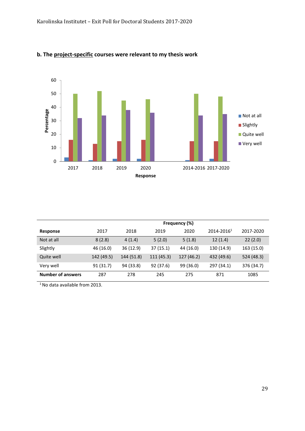

#### **b. The project-specific courses were relevant to my thesis work**

|                          | Frequency (%) |            |            |            |                 |            |  |
|--------------------------|---------------|------------|------------|------------|-----------------|------------|--|
| <b>Response</b>          | 2017          | 2018       | 2019       | 2020       | $2014 - 2016^1$ | 2017-2020  |  |
| Not at all               | 8(2.8)        | 4(1.4)     | 5(2.0)     | 5(1.8)     | 12(1.4)         | 22(2.0)    |  |
| Slightly                 | 46 (16.0)     | 36 (12.9)  | 37(15.1)   | 44 (16.0)  | 130 (14.9)      | 163 (15.0) |  |
| Quite well               | 142 (49.5)    | 144 (51.8) | 111 (45.3) | 127 (46.2) | 432 (49.6)      | 524 (48.3) |  |
| Very well                | 91(31.7)      | 94 (33.8)  | 92 (37.6)  | 99 (36.0)  | 297 (34.1)      | 376 (34.7) |  |
| <b>Number of answers</b> | 287           | 278        | 245        | 275        | 871             | 1085       |  |

<sup>1</sup> No data available from 2013.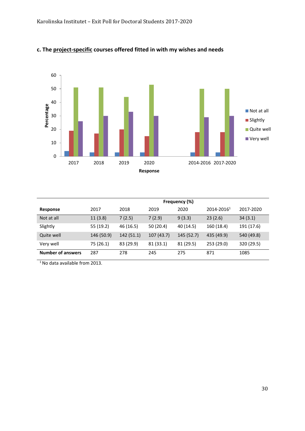

#### **c. The project-specific courses offered fitted in with my wishes and needs**

|                          | Frequency (%) |           |           |            |                        |            |  |
|--------------------------|---------------|-----------|-----------|------------|------------------------|------------|--|
| <b>Response</b>          | 2017          | 2018      | 2019      | 2020       | 2014-2016 <sup>1</sup> | 2017-2020  |  |
| Not at all               | 11(3.8)       | 7(2.5)    | 7(2.9)    | 9(3.3)     | 23(2.6)                | 34(3.1)    |  |
| Slightly                 | 55 (19.2)     | 46 (16.5) | 50(20.4)  | 40 (14.5)  | 160 (18.4)             | 191 (17.6) |  |
| Quite well               | 146 (50.9)    | 142(51.1) | 107(43.7) | 145 (52.7) | 435 (49.9)             | 540 (49.8) |  |
| Very well                | 75 (26.1)     | 83 (29.9) | 81 (33.1) | 81 (29.5)  | 253 (29.0)             | 320 (29.5) |  |
| <b>Number of answers</b> | 287           | 278       | 245       | 275        | 871                    | 1085       |  |

<sup>1</sup> No data available from 2013.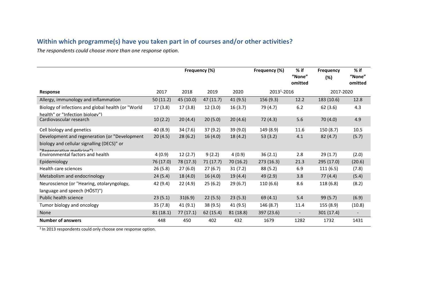# **Within which programme(s) have you taken part in of courses and/or other activities?**

*The respondents could choose more than one response option.*

|                                                                                                                          |           | Frequency (%) |          |           | Frequency (%)  | % if<br>"None"<br>omitted | <b>Frequency</b><br>(%) | $%$ if<br>"None"<br>omitted |
|--------------------------------------------------------------------------------------------------------------------------|-----------|---------------|----------|-----------|----------------|---------------------------|-------------------------|-----------------------------|
| <b>Response</b>                                                                                                          | 2017      | 2018          | 2019     | 2020      | $20131 - 2016$ |                           | 2017-2020               |                             |
| Allergy, immunology and inflammation                                                                                     | 50(11.2)  | 45 (10.0)     | 47(11.7) | 41(9.5)   | 156(9.3)       | 12.2                      | 183 (10.6)              | 12.8                        |
| Biology of infections and global health (or "World<br>health" or "Infection biology")                                    | 17(3.8)   | 17 (3.8)      | 12(3.0)  | 16(3.7)   | 79 (4.7)       | 6.2                       | 62(3.6)                 | 4.3                         |
| Cardiovascular research                                                                                                  | 10(2.2)   | 20(4.4)       | 20(5.0)  | 20(4.6)   | 72(4.3)        | 5.6                       | 70(4.0)                 | 4.9                         |
| Cell biology and genetics                                                                                                | 40 (8.9)  | 34 (7.6)      | 37(9.2)  | 39 (9.0)  | 149 (8.9)      | 11.6                      | 150 (8.7)               | 10.5                        |
| Development and regeneration (or "Development"<br>biology and cellular signalling (DECS)" or<br>"Regenerative medicine") | 20(4.5)   | 28(6.2)       | 16(4.0)  | 18 (4.2)  | 53(3.2)        | 4.1                       | 82(4.7)                 | (5.7)                       |
| Environmental factors and health                                                                                         | 4(0.9)    | 12(2.7)       | 9(2.2)   | 4(0.9)    | 36(2.1)        | 2.8                       | 29(1.7)                 | (2.0)                       |
| Epidemiology                                                                                                             | 76 (17.0) | 78 (17.3)     | 71(17.7) | 70(16.2)  | 273 (16.3)     | 21.3                      | 295 (17.0)              | (20.6)                      |
| Health care sciences                                                                                                     | 26(5.8)   | 27(6.0)       | 27(6.7)  | 31(7.2)   | 88 (5.2)       | 6.9                       | 111(6.5)                | (7.8)                       |
| Metabolism and endocrinology                                                                                             | 24(5.4)   | 18(4.0)       | 16(4.0)  | 19(4.4)   | 49 (2.9)       | 3.8                       | 77 (4.4)                | (5.4)                       |
| Neuroscience (or "Hearing, otolaryngology,<br>language and speech (HÖST)")                                               | 42 (9.4)  | 22(4.9)       | 25(6.2)  | 29(6.7)   | 110 (6.6)      | 8.6                       | 118 (6.8)               | (8.2)                       |
| Public health science                                                                                                    | 23(5.1)   | 31(6.9)       | 22(5.5)  | 23(5.3)   | 69 (4.1)       | 5.4                       | 99 (5.7)                | (6.9)                       |
| Tumor biology and oncology                                                                                               | 35(7.8)   | 41(9.1)       | 38(9.5)  | 41 (9.5)  | 146 (8.7)      | 11.4                      | 155 (8.9)               | (10.8)                      |
| None                                                                                                                     | 81(18.1)  | 77(17.1)      | 62(15.4) | 81 (18.8) | 397 (23.6)     | $\overline{\phantom{a}}$  | 301 (17.4)              |                             |
| <b>Number of answers</b>                                                                                                 | 448       | 450           | 402      | 432       | 1679           | 1282                      | 1732                    | 1431                        |

<sup>1</sup> In 2013 respondents could only choose one response option.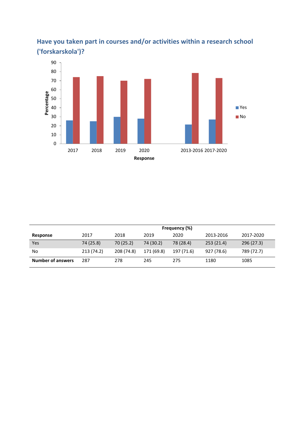

# **Have you taken part in courses and/or activities within a research school ('forskarskola')?**

|                          | Frequency (%) |            |            |            |            |            |  |  |
|--------------------------|---------------|------------|------------|------------|------------|------------|--|--|
| Response                 | 2017          | 2018       | 2019       | 2020       | 2013-2016  | 2017-2020  |  |  |
| Yes                      | 74 (25.8)     | 70(25.2)   | 74 (30.2)  | 78 (28.4)  | 253(21.4)  | 296 (27.3) |  |  |
| No                       | 213 (74.2)    | 208 (74.8) | 171 (69.8) | 197 (71.6) | 927 (78.6) | 789 (72.7) |  |  |
| <b>Number of answers</b> | 287           | 278        | 245        | 275        | 1180       | 1085       |  |  |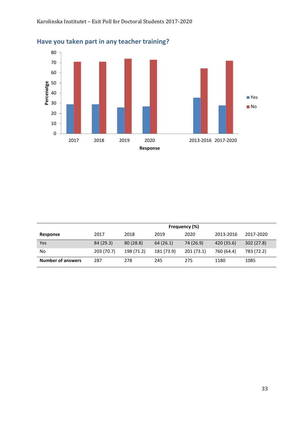

# **Have you taken part in any teacher training?**

|                          | Frequency (%) |            |            |           |            |            |  |
|--------------------------|---------------|------------|------------|-----------|------------|------------|--|
| Response                 | 2017          | 2018       | 2019       | 2020      | 2013-2016  | 2017-2020  |  |
| Yes                      | 84 (29.3)     | 80(28.8)   | 64(26.1)   | 74 (26.9) | 420 (35.6) | 302(27.8)  |  |
| No                       | 203 (70.7)    | 198 (71.2) | 181 (73.9) | 201(73.1) | 760 (64.4) | 783 (72.2) |  |
| <b>Number of answers</b> | 287           | 278        | 245        | 275       | 1180       | 1085       |  |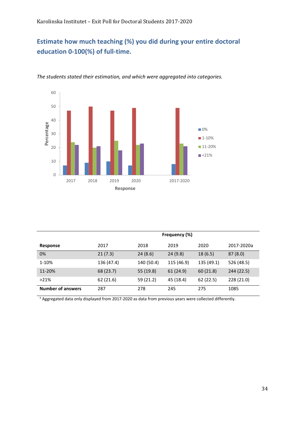## **Estimate how much teaching (%) you did during your entire doctoral education 0-100(%) of full-time.**



*The students stated their estimation, and which were aggregated into categories.*

|                          | Frequency (%) |            |            |            |            |  |  |
|--------------------------|---------------|------------|------------|------------|------------|--|--|
| Response                 | 2017          | 2018       | 2019       | 2020       | 2017-2020a |  |  |
| 0%                       | 21(7.3)       | 24(8.6)    | 24(9.8)    | 18(6.5)    | 87(8.0)    |  |  |
| 1-10%                    | 136 (47.4)    | 140 (50.4) | 115 (46.9) | 135 (49.1) | 526 (48.5) |  |  |
| 11-20%                   | 68 (23.7)     | 55 (19.8)  | 61 (24.9)  | 60(21.8)   | 244 (22.5) |  |  |
| $>21\%$                  | 62(21.6)      | 59 (21.2)  | 45 (18.4)  | 62(22.5)   | 228 (21.0) |  |  |
| <b>Number of answers</b> | 287           | 278        | 245        | 275        | 1085       |  |  |

a Aggregated data only displayed from 2017-2020 as data from previous years were collected differently.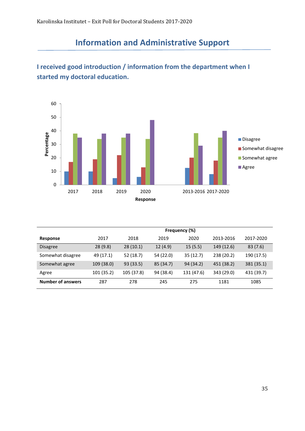# **Information and Administrative Support**

#### 60 50 40 Percentage **Percentage Disagree** 30 Somewhat disagree 20 Somewhat agree **Agree** 10 0 2017 2018 2019 2020 2013-2016 2017-2020 **Response**

# <span id="page-34-0"></span>**I received good introduction / information from the department when I started my doctoral education.**

|                          | Frequency (%) |            |           |            |            |            |  |  |
|--------------------------|---------------|------------|-----------|------------|------------|------------|--|--|
| Response                 | 2017          | 2018       | 2019      | 2020       | 2013-2016  | 2017-2020  |  |  |
| <b>Disagree</b>          | 28(9.8)       | 28(10.1)   | 12(4.9)   | 15(5.5)    | 149 (12.6) | 83(7.6)    |  |  |
| Somewhat disagree        | 49 (17.1)     | 52 (18.7)  | 54 (22.0) | 35(12.7)   | 238 (20.2) | 190 (17.5) |  |  |
| Somewhat agree           | 109 (38.0)    | 93 (33.5)  | 85 (34.7) | 94 (34.2)  | 451 (38.2) | 381 (35.1) |  |  |
| Agree                    | 101 (35.2)    | 105 (37.8) | 94 (38.4) | 131 (47.6) | 343 (29.0) | 431 (39.7) |  |  |
| <b>Number of answers</b> | 287           | 278        | 245       | 275        | 1181       | 1085       |  |  |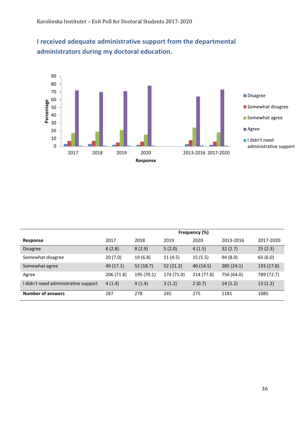

# **I received adequate administrative support from the departmental administrators during my doctoral education.**

|                                      | Frequency (%) |            |            |            |            |            |  |
|--------------------------------------|---------------|------------|------------|------------|------------|------------|--|
| Response                             | 2017          | 2018       | 2019       | 2020       | 2013-2016  | 2017-2020  |  |
| <b>Disagree</b>                      | 8(2.8)        | 8(2.9)     | 5(2.0)     | 4(1.5)     | 32(2.7)    | 25(2.3)    |  |
| Somewhat disagree                    | 20(7.0)       | 19 (6.8)   | 11(4.5)    | 15(5.5)    | 94 (8.0)   | 65 (6.0)   |  |
| Somewhat agree                       | 49 (17.1)     | 52(18.7)   | 52(21.2)   | 40 (14.5)  | 285(24.1)  | 193 (17.8) |  |
| Agree                                | 206 (71.8)    | 195 (70.1) | 174 (71.0) | 214 (77.8) | 756 (64.0) | 789 (72.7) |  |
| I didn't need administrative support | 4(1.4)        | 4(1.4)     | 3(1.2)     | 2(0.7)     | 14(1.2)    | 13(1.2)    |  |
| <b>Number of answers</b>             | 287           | 278        | 245        | 275        | 1181       | 1085       |  |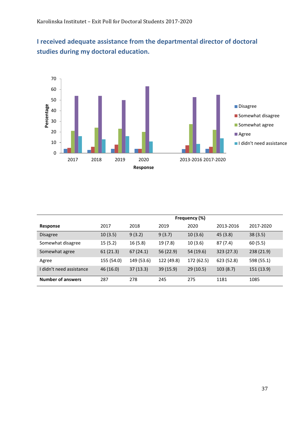**I received adequate assistance from the departmental director of doctoral studies during my doctoral education.** 



|                          | Frequency (%) |            |            |            |            |            |  |  |
|--------------------------|---------------|------------|------------|------------|------------|------------|--|--|
| Response                 | 2017          | 2018       | 2019       | 2020       | 2013-2016  | 2017-2020  |  |  |
| <b>Disagree</b>          | 10(3.5)       | 9(3.2)     | 9(3.7)     | 10(3.6)    | 45(3.8)    | 38(3.5)    |  |  |
| Somewhat disagree        | 15(5.2)       | 16(5.8)    | 19 (7.8)   | 10(3.6)    | 87 (7.4)   | 60(5.5)    |  |  |
| Somewhat agree           | 61(21.3)      | 67(24.1)   | 56 (22.9)  | 54 (19.6)  | 323 (27.3) | 238 (21.9) |  |  |
| Agree                    | 155 (54.0)    | 149 (53.6) | 122 (49.8) | 172 (62.5) | 623 (52.8) | 598 (55.1) |  |  |
| I didn't need assistance | 46 (16.0)     | 37(13.3)   | 39(15.9)   | 29(10.5)   | 103(8.7)   | 151 (13.9) |  |  |
| <b>Number of answers</b> | 287           | 278        | 245        | 275        | 1181       | 1085       |  |  |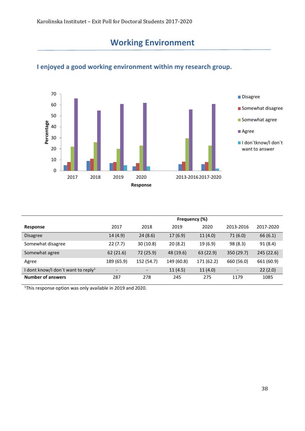# **Working Environment**



## <span id="page-37-0"></span>**I enjoyed a good working environment within my research group.**

|                                                | Frequency (%)            |            |            |            |            |            |  |
|------------------------------------------------|--------------------------|------------|------------|------------|------------|------------|--|
| Response                                       | 2017                     | 2018       | 2019       | 2020       | 2013-2016  | 2017-2020  |  |
| <b>Disagree</b>                                | 14 (4.9)                 | 24(8.6)    | 17(6.9)    | 11(4.0)    | 71(6.0)    | 66(6.1)    |  |
| Somewhat disagree                              | 22(7.7)                  | 30(10.8)   | 20(8.2)    | 19 (6.9)   | 98(8.3)    | 91(8.4)    |  |
| Somewhat agree                                 | 62(21.6)                 | 72 (25.9)  | 48 (19.6)  | 63 (22.9)  | 350 (29.7) | 245 (22.6) |  |
| Agree                                          | 189 (65.9)               | 152 (54.7) | 149 (60.8) | 171 (62.2) | 660 (56.0) | 661 (60.9) |  |
| I dont know/I don't want to reply <sup>1</sup> | $\overline{\phantom{a}}$ |            | 11(4.5)    | 11(4.0)    |            | 22(2.0)    |  |
| <b>Number of answers</b>                       | 287                      | 278        | 245        | 275        | 1179       | 1085       |  |

<sup>1</sup>This response option was only available in 2019 and 2020.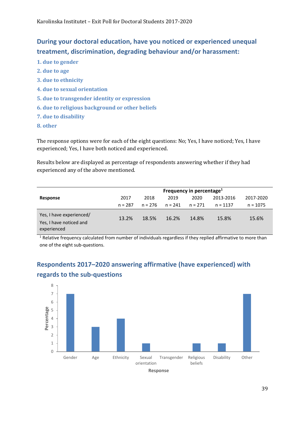## **During your doctoral education, have you noticed or experienced unequal treatment, discrimination, degrading behaviour and/or harassment:**

- **1. due to gender**
- **2. due to age**
- **3. due to ethnicity**
- **4. due to sexual orientation**
- **5. due to transgender identity or expression**
- **6. due to religious background or other beliefs**
- **7. due to disability**
- **8. other**

The response options were for each of the eight questions: No; Yes, I have noticed; Yes, I have experienced; Yes, I have both noticed and experienced.

Results below are displayed as percentage of respondents answering whether if they had experienced any of the above mentioned.

|                                                                    | Frequency in percentage <sup>1</sup> |           |           |         |            |            |  |  |
|--------------------------------------------------------------------|--------------------------------------|-----------|-----------|---------|------------|------------|--|--|
| Response                                                           | 2017                                 | 2018      | 2019      | 2020    | 2013-2016  | 2017-2020  |  |  |
|                                                                    | $n = 287$                            | $n = 276$ | $n = 241$ | n = 271 | $n = 1137$ | $n = 1075$ |  |  |
| Yes, I have experienced/<br>Yes, I have noticed and<br>experienced | 13.2%                                | 18.5%     | 16.2%     | 14.8%   | 15.8%      | 15.6%      |  |  |

<sup>1</sup> Relative frequency calculated from number of individuals regardless if they replied affirmative to more than one of the eight sub-questions.

## **Respondents 2017–2020 answering affirmative (have experienced) with regards to the sub-questions**

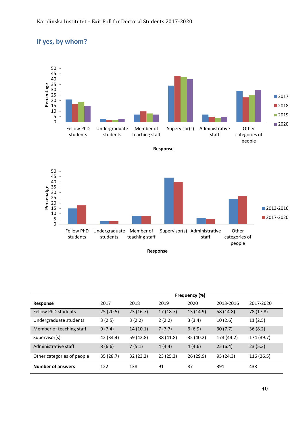## **If yes, by whom?**



|                            | Frequency (%) |           |           |           |            |            |  |
|----------------------------|---------------|-----------|-----------|-----------|------------|------------|--|
| Response                   | 2017          | 2018      | 2019      | 2020      | 2013-2016  | 2017-2020  |  |
| <b>Fellow PhD students</b> | 25(20.5)      | 23(16.7)  | 17(18.7)  | 13 (14.9) | 58 (14.8)  | 78 (17.8)  |  |
| Undergraduate students     | 3(2.5)        | 3(2.2)    | 2(2.2)    | 3(3.4)    | 10(2.6)    | 11(2.5)    |  |
| Member of teaching staff   | 9(7.4)        | 14(10.1)  | 7(7.7)    | 6(6.9)    | 30(7.7)    | 36(8.2)    |  |
| Supervisor(s)              | 42 (34.4)     | 59 (42.8) | 38 (41.8) | 35 (40.2) | 173 (44.2) | 174 (39.7) |  |
| Administrative staff       | 8(6.6)        | 7(5.1)    | 4(4.4)    | 4(4.6)    | 25(6.4)    | 23(5.3)    |  |
| Other categories of people | 35(28.7)      | 32(23.2)  | 23(25.3)  | 26 (29.9) | 95(24.3)   | 116 (26.5) |  |
| <b>Number of answers</b>   | 122           | 138       | 91        | 87        | 391        | 438        |  |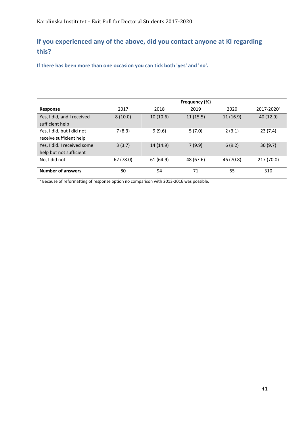## **If you experienced any of the above, did you contact anyone at KI regarding this?**

**If there has been more than one occasion you can tick both 'yes' and 'no'.**

|                             | Frequency (%) |           |           |           |                        |  |  |  |
|-----------------------------|---------------|-----------|-----------|-----------|------------------------|--|--|--|
| <b>Response</b>             | 2017          | 2018      | 2019      | 2020      | 2017-2020 <sup>a</sup> |  |  |  |
| Yes, I did, and I received  | 8(10.0)       | 10(10.6)  | 11(15.5)  | 11(16.9)  | 40 (12.9)              |  |  |  |
| sufficient help             |               |           |           |           |                        |  |  |  |
| Yes, I did, but I did not   | 7(8.3)        | 9(9.6)    | 5(7.0)    | 2(3.1)    | 23(7.4)                |  |  |  |
| receive sufficient help     |               |           |           |           |                        |  |  |  |
| Yes, I did. I received some | 3(3.7)        | 14 (14.9) | 7(9.9)    | 6(9.2)    | 30(9.7)                |  |  |  |
| help but not sufficient     |               |           |           |           |                        |  |  |  |
| No, I did not               | 62 (78.0)     | 61 (64.9) | 48 (67.6) | 46 (70.8) | 217 (70.0)             |  |  |  |
|                             |               |           |           |           |                        |  |  |  |
| <b>Number of answers</b>    | 80            | 94        | 71        | 65        | 310                    |  |  |  |

<sup>a</sup> Because of reformatting of response option no comparison with 2013-2016 was possible.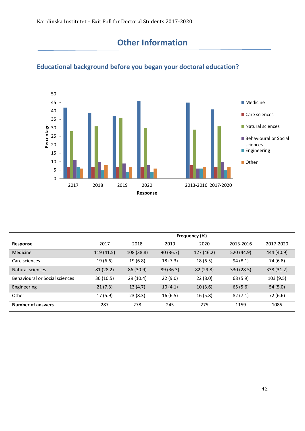# **Other Information**



# <span id="page-41-0"></span>**Educational background before you began your doctoral education?**

|                                | Frequency (%) |            |           |            |            |            |  |  |
|--------------------------------|---------------|------------|-----------|------------|------------|------------|--|--|
| Response                       | 2017          | 2018       | 2019      | 2020       | 2013-2016  | 2017-2020  |  |  |
| Medicine                       | 119 (41.5)    | 108 (38.8) | 90(36.7)  | 127 (46.2) | 520 (44.9) | 444 (40.9) |  |  |
| Care sciences                  | 19 (6.6)      | 19 (6.8)   | 18(7.3)   | 18(6.5)    | 94(8.1)    | 74 (6.8)   |  |  |
| Natural sciences               | 81(28.2)      | 86 (30.9)  | 89 (36.3) | 82(29.8)   | 330 (28.5) | 338 (31.2) |  |  |
| Behavioural or Social sciences | 30(10.5)      | 29(10.4)   | 22(9.0)   | 22(8.0)    | 68 (5.9)   | 103(9.5)   |  |  |
| Engineering                    | 21(7.3)       | 13(4.7)    | 10(4.1)   | 10(3.6)    | 65(5.6)    | 54(5.0)    |  |  |
| Other                          | 17(5.9)       | 23(8.3)    | 16(6.5)   | 16(5.8)    | 82(7.1)    | 72 (6.6)   |  |  |
| <b>Number of answers</b>       | 287           | 278        | 245       | 275        | 1159       | 1085       |  |  |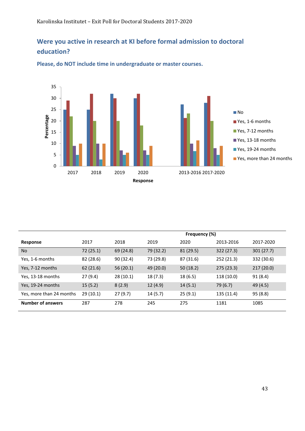## **Were you active in research at KI before formal admission to doctoral education?**



**Please, do NOT include time in undergraduate or master courses.**

|                          |           | Frequency (%) |           |           |            |            |  |  |
|--------------------------|-----------|---------------|-----------|-----------|------------|------------|--|--|
| Response                 | 2017      | 2018          | 2019      | 2020      | 2013-2016  | 2017-2020  |  |  |
| <b>No</b>                | 72(25.1)  | 69 (24.8)     | 79 (32.2) | 81(29.5)  | 322(27.3)  | 301(27.7)  |  |  |
| Yes, 1-6 months          | 82 (28.6) | 90 (32.4)     | 73 (29.8) | 87 (31.6) | 252 (21.3) | 332 (30.6) |  |  |
| Yes, 7-12 months         | 62 (21.6) | 56(20.1)      | 49 (20.0) | 50(18.2)  | 275 (23.3) | 217(20.0)  |  |  |
| Yes, 13-18 months        | 27(9.4)   | 28(10.1)      | 18 (7.3)  | 18 (6.5)  | 118 (10.0) | 91(8.4)    |  |  |
| Yes, 19-24 months        | 15(5.2)   | 8(2.9)        | 12(4.9)   | 14(5.1)   | 79 (6.7)   | 49 (4.5)   |  |  |
| Yes, more than 24 months | 29(10.1)  | 27(9.7)       | 14(5.7)   | 25(9.1)   | 135 (11.4) | 95 (8.8)   |  |  |
| <b>Number of answers</b> | 287       | 278           | 245       | 275       | 1181       | 1085       |  |  |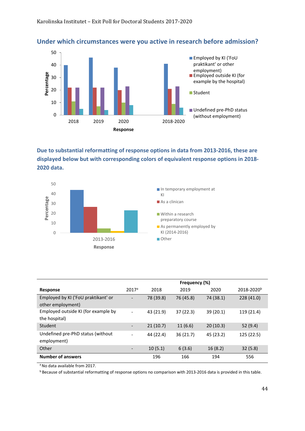#### **Under which circumstances were you active in research before admission?**



**Due to substantial reformatting of response options in data from 2013-2016, these are displayed below but with corresponding colors of equivalent response options in 2018- 2020 data.** 



|                                                          | Frequency (%)                |           |           |           |                        |  |
|----------------------------------------------------------|------------------------------|-----------|-----------|-----------|------------------------|--|
| <b>Response</b>                                          | 2017 <sup>a</sup>            | 2018      | 2019      | 2020      | 2018-2020 <sup>b</sup> |  |
| Employed by KI ('FoU praktikant' or<br>other employment) |                              | 78 (39.8) | 76 (45.8) | 74 (38.1) | 228 (41.0)             |  |
| Employed outside KI (for example by<br>the hospital)     | $\overline{\phantom{a}}$     | 43 (21.9) | 37(22.3)  | 39 (20.1) | 119 (21.4)             |  |
| Student                                                  |                              | 21(10.7)  | 11(6.6)   | 20(10.3)  | 52 $(9.4)$             |  |
| Undefined pre-PhD status (without<br>employment)         | $\qquad \qquad \blacksquare$ | 44 (22.4) | 36(21.7)  | 45 (23.2) | 125 (22.5)             |  |
| Other                                                    |                              | 10(5.1)   | 6(3.6)    | 16(8.2)   | 32(5.8)                |  |
| <b>Number of answers</b>                                 |                              | 196       | 166       | 194       | 556                    |  |

a No data available from 2017.

b Because of substantial reformatting of response options no comparison with 2013-2016 data is provided in this table.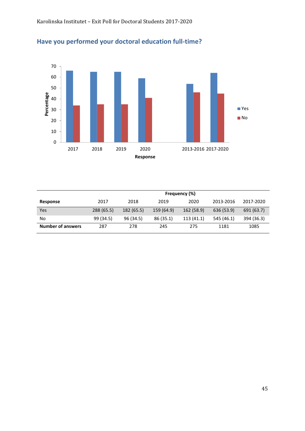



|                          | Frequency (%) |            |            |            |            |            |  |  |
|--------------------------|---------------|------------|------------|------------|------------|------------|--|--|
| Response                 | 2017          | 2018       | 2019       | 2020       | 2013-2016  | 2017-2020  |  |  |
| Yes                      | 288 (65.5)    | 182 (65.5) | 159 (64.9) | 162 (58.9) | 636 (53.9) | 691 (63.7) |  |  |
| No                       | 99 (34.5)     | 96 (34.5)  | 86 (35.1)  | 113(41.1)  | 545 (46.1) | 394 (36.3) |  |  |
| <b>Number of answers</b> | 287           | 278        | 245        | 275        | 1181       | 1085       |  |  |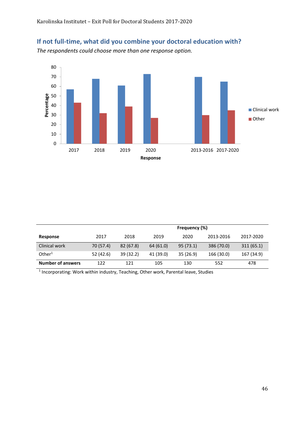# **If not full-time, what did you combine your doctoral education with?**

*The respondents could choose more than one response option.*



|                          |           | Frequency (%) |           |          |            |            |  |
|--------------------------|-----------|---------------|-----------|----------|------------|------------|--|
| Response                 | 2017      | 2018          | 2019      | 2020     | 2013-2016  | 2017-2020  |  |
| Clinical work            | 70 (57.4) | 82(67.8)      | 64 (61.0) | 95(73.1) | 386 (70.0) | 311(65.1)  |  |
| Other <sup>1</sup>       | 52 (42.6) | 39(32.2)      | 41 (39.0) | 35(26.9) | 166 (30.0) | 167 (34.9) |  |
| <b>Number of answers</b> | 122       | 121           | 105       | 130      | 552        | 478        |  |

 $1$  Incorporating: Work within industry, Teaching, Other work, Parental leave, Studies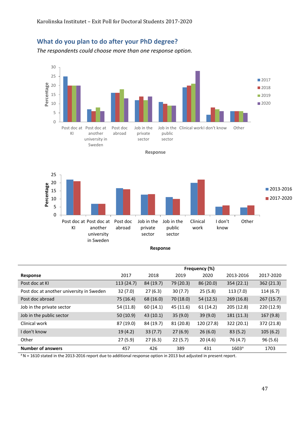### **What do you plan to do after your PhD degree?**

*The respondents could choose more than one response option.*







**Response**

|                                          | Frequency (%) |           |           |            |                   |            |
|------------------------------------------|---------------|-----------|-----------|------------|-------------------|------------|
| Response                                 | 2017          | 2018      | 2019      | 2020       | 2013-2016         | 2017-2020  |
| Post doc at KI                           | 113(24.7)     | 84 (19.7) | 79 (20.3) | 86 (20.0)  | 354 (22.1)        | 362 (21.3) |
| Post doc at another university in Sweden | 32(7.0)       | 27(6.3)   | 30(7.7)   | 25(5.8)    | 113(7.0)          | 114(6.7)   |
| Post doc abroad                          | 75 (16.4)     | 68 (16.0) | 70 (18.0) | 54(12.5)   | 269(16.8)         | 267(15.7)  |
| Job in the private sector                | 54 (11.8)     | 60(14.1)  | 45 (11.6) | 61(14.2)   | 205 (12.8)        | 220 (12.9) |
| Job in the public sector                 | 50(10.9)      | 43(10.1)  | 35(9.0)   | 39 (9.0)   | 181(11.3)         | 167(9.8)   |
| Clinical work                            | 87 (19.0)     | 84 (19.7) | 81 (20.8) | 120 (27.8) | 322 (20.1)        | 372 (21.8) |
| I don't know                             | 19(4.2)       | 33(7.7)   | 27(6.9)   | 26(6.0)    | 83(5.2)           | 105(6.2)   |
| Other                                    | 27(5.9)       | 27(6.3)   | 22(5.7)   | 20(4.6)    | 76 (4.7)          | 96 (5.6)   |
| <b>Number of answers</b>                 | 457           | 426       | 389       | 431        | 1603 <sup>a</sup> | 1703       |

<sup>a</sup> N = 1610 stated in the 2013-2016 report due to additional response option in 2013 but adjusted in present report.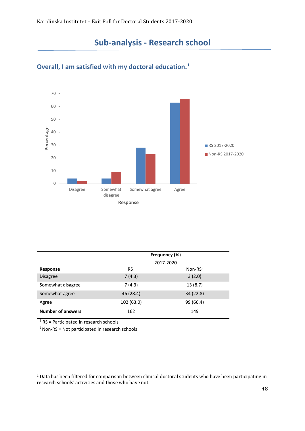

#### <span id="page-47-0"></span>**Overall, I am satisfied with my doctoral education. [1](#page-47-1)**

|                          | Frequency (%)   |            |  |  |  |
|--------------------------|-----------------|------------|--|--|--|
|                          |                 | 2017-2020  |  |  |  |
| Response                 | RS <sup>1</sup> | Non-RS $2$ |  |  |  |
| <b>Disagree</b>          | 7(4.3)          | 3(2.0)     |  |  |  |
| Somewhat disagree        | 7(4.3)          | 13(8.7)    |  |  |  |
| Somewhat agree           | 46 (28.4)       | 34 (22.8)  |  |  |  |
| Agree                    | 102 (63.0)      | 99 (66.4)  |  |  |  |
| <b>Number of answers</b> | 162             | 149        |  |  |  |

 $1$  RS = Participated in research schools

<span id="page-47-1"></span><sup>1</sup> Data has been filtered for comparison between clinical doctoral students who have been participating in research schools' activities and those who have not.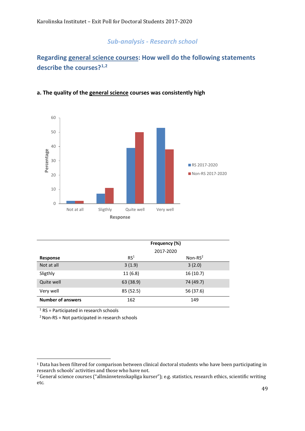## **Regarding general science courses: How well do the following statements describe the courses?[1](#page-48-0),[2](#page-48-1)**



#### **a. The quality of the general science courses was consistently high**

|                          | Frequency (%)   |            |  |  |
|--------------------------|-----------------|------------|--|--|
|                          |                 | 2017-2020  |  |  |
| <b>Response</b>          | RS <sup>1</sup> | Non-RS $2$ |  |  |
| Not at all               | 3(1.9)          | 3(2.0)     |  |  |
| Sligthly                 | 11(6.8)         | 16(10.7)   |  |  |
| Quite well               | 63 (38.9)       | 74 (49.7)  |  |  |
| Very well                | 85 (52.5)       | 56 (37.6)  |  |  |
| <b>Number of answers</b> | 162             | 149        |  |  |

 $1$  RS = Participated in research schools

<span id="page-48-0"></span><sup>&</sup>lt;sup>1</sup> Data has been filtered for comparison between clinical doctoral students who have been participating in research schools' activities and those who have not.

<span id="page-48-1"></span><sup>&</sup>lt;sup>2</sup> General science courses ("allmänvetenskapliga kurser"); e.g. statistics, research ethics, scientific writing etc.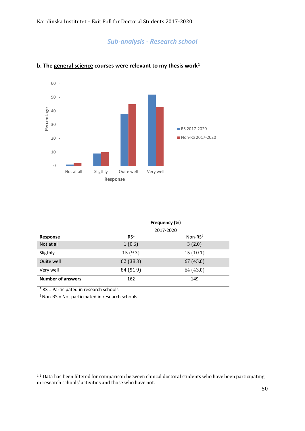

#### **b. The general science courses were relevant to my thesis work[1](#page-49-0)**

|                          | Frequency (%)   |            |  |  |
|--------------------------|-----------------|------------|--|--|
|                          |                 | 2017-2020  |  |  |
| Response                 | RS <sup>1</sup> | Non-RS $2$ |  |  |
| Not at all               | 1(0.6)          | 3(2.0)     |  |  |
| Sligthly                 | 15(9.3)         | 15(10.1)   |  |  |
| Quite well               | 62 (38.3)       | 67(45.0)   |  |  |
| Very well                | 84 (51.9)       | 64 (43.0)  |  |  |
| <b>Number of answers</b> | 162             | 149        |  |  |

 $1$  RS = Participated in research schools

<span id="page-49-0"></span><sup>&</sup>lt;sup>11</sup> Data has been filtered for comparison between clinical doctoral students who have been participating in research schools' activities and those who have not.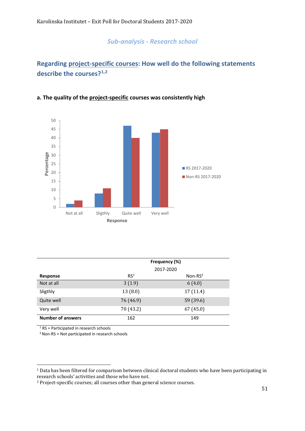## **Regarding project-specific courses: How well do the following statements describe the courses?[1](#page-50-0),[2](#page-50-1)**



#### **a. The quality of the project-specific courses was consistently high**

|                          | Frequency (%)   |            |  |  |
|--------------------------|-----------------|------------|--|--|
|                          |                 | 2017-2020  |  |  |
| Response                 | RS <sup>1</sup> | Non-RS $2$ |  |  |
| Not at all               | 3(1.9)          | 6(4.0)     |  |  |
| Sligthly                 | 13(8.0)         | 17 (11.4)  |  |  |
| Quite well               | 76 (46.9)       | 59 (39.6)  |  |  |
| Very well                | 70 (43.2)       | 67(45.0)   |  |  |
| <b>Number of answers</b> | 162             | 149        |  |  |

 $1$  RS = Participated in research schools

<span id="page-50-0"></span><sup>&</sup>lt;sup>1</sup> Data has been filtered for comparison between clinical doctoral students who have been participating in research schools' activities and those who have not.

<span id="page-50-1"></span><sup>2</sup> Project-specific courses; all courses other than general science courses.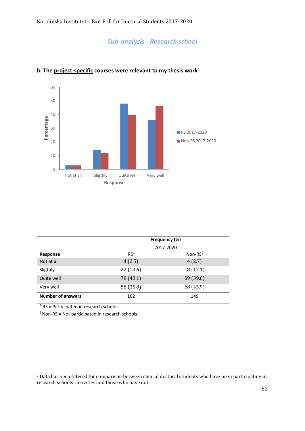

#### **b. The project-specific courses were relevant to my thesis work[1](#page-51-0)**

|                          | Frequency (%)   |            |  |  |  |
|--------------------------|-----------------|------------|--|--|--|
|                          |                 | 2017-2020  |  |  |  |
| Response                 | RS <sup>1</sup> | Non-RS $2$ |  |  |  |
| Not at all               | 4(2.5)          | 4(2.7)     |  |  |  |
| Sligthly                 | 22(13.6)        | 18 (12.1)  |  |  |  |
| Quite well               | 78 (48.1)       | 59 (39.6)  |  |  |  |
| Very well                | 58 (35.8)       | 68 (45.9)  |  |  |  |
| <b>Number of answers</b> | 162             | 149        |  |  |  |

 $1$  RS = Participated in research schools

<span id="page-51-0"></span><sup>1</sup> Data has been filtered for comparison between clinical doctoral students who have been participating in research schools' activities and those who have not.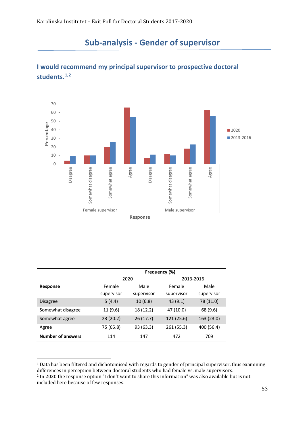

## <span id="page-52-0"></span>**I would recommend my principal supervisor to prospective doctoral students.[1](#page-52-1),[2](#page-52-2)**

|                          | Frequency (%) |            |            |            |  |  |
|--------------------------|---------------|------------|------------|------------|--|--|
|                          | 2020          |            | 2013-2016  |            |  |  |
| Response                 | Female        | Male       | Female     | Male       |  |  |
|                          | supervisor    | supervisor | supervisor | supervisor |  |  |
| <b>Disagree</b>          | 5(4.4)        | 10(6.8)    | 43(9.1)    | 78 (11.0)  |  |  |
| Somewhat disagree        | 11 (9.6)      | 18 (12.2)  | 47 (10.0)  | 68 (9.6)   |  |  |
| Somewhat agree           | 23(20.2)      | 26(17.7)   | 121 (25.6) | 163 (23.0) |  |  |
| Agree                    | 75 (65.8)     | 93(63.3)   | 261 (55.3) | 400 (56.4) |  |  |
| <b>Number of answers</b> | 114           | 147        | 472        | 709        |  |  |

<span id="page-52-1"></span><sup>1</sup> Data has been filtered and dichotomised with regards to gender of principal supervisor, thus examining differences in perception between doctoral students who had female vs. male supervisors.

<span id="page-52-2"></span><sup>2</sup> In 2020 the response option "I don't want to share this information" was also available but is not included here because of few responses.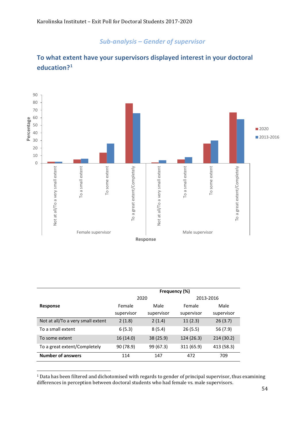

## **To what extent have your supervisors displayed interest in your doctoral education?[1](#page-53-0)**

|                                   | Frequency (%) |            |            |            |  |
|-----------------------------------|---------------|------------|------------|------------|--|
|                                   |               | 2020       |            | 2013-2016  |  |
| Response                          | Female        | Male       | Female     | Male       |  |
|                                   | supervisor    | supervisor | supervisor | supervisor |  |
| Not at all/To a very small extent | 2(1.8)        | 2(1.4)     | 11(2.3)    | 26(3.7)    |  |
| To a small extent                 | 6(5.3)        | 8(5.4)     | 26(5.5)    | 56 (7.9)   |  |
| To some extent                    | 16(14.0)      | 38 (25.9)  | 124 (26.3) | 214 (30.2) |  |
| To a great extent/Completely      | 90 (78.9)     | 99 (67.3)  | 311 (65.9) | 413 (58.3) |  |
| <b>Number of answers</b>          | 114           | 147        | 472        | 709        |  |

<span id="page-53-0"></span><sup>&</sup>lt;sup>1</sup> Data has been filtered and dichotomised with regards to gender of principal supervisor, thus examining differences in perception between doctoral students who had female vs. male supervisors.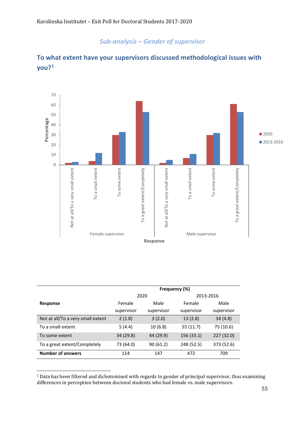

## **To what extent have your supervisors discussed methodological issues with you?[1](#page-54-0)**

|                                   | Frequency (%) |            |            |            |  |
|-----------------------------------|---------------|------------|------------|------------|--|
|                                   |               | 2020       |            | 2013-2016  |  |
| Response                          | Female        | Male       | Female     | Male       |  |
|                                   | supervisor    | supervisor | supervisor | supervisor |  |
| Not at all/To a very small extent | 2(1.8)        | 3(2.0)     | 13(2.8)    | 34(4.8)    |  |
| To a small extent                 | 5(4.4)        | 10(6.8)    | 55 (11.7)  | 75 (10.6)  |  |
| To some extent                    | 34 (29.8)     | 44 (29.9)  | 156 (33.1) | 227 (32.0) |  |
| To a great extent/Completely      | 73 (64.0)     | 90(61.2)   | 248 (52.5) | 373 (52.6) |  |
| <b>Number of answers</b>          | 114           | 147        | 472        | 709        |  |

<span id="page-54-0"></span><sup>&</sup>lt;sup>1</sup> Data has been filtered and dichotomised with regards to gender of principal supervisor, thus examining differences in perception between doctoral students who had female vs. male supervisors.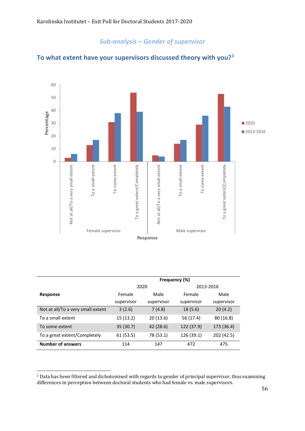

#### **To what extent have your supervisors discussed theory with you?[1](#page-55-0)**

|                                   | Frequency (%) |            |            |            |  |
|-----------------------------------|---------------|------------|------------|------------|--|
|                                   | 2020          |            | 2013-2016  |            |  |
| Response                          | Female        | Male       | Female     | Male       |  |
|                                   | supervisor    | supervisor | supervisor | supervisor |  |
| Not at all/To a very small extent | 3(2.6)        | 7(4.8)     | 18(5.6)    | 20(4.2)    |  |
| To a small extent                 | 15(13.2)      | 20(13.6)   | 56 (17.4)  | 80 (16.8)  |  |
| To some extent                    | 35 (30.7)     | 42 (28.6)  | 122 (37.9) | 173 (36.4) |  |
| To a great extent/Completely      | 61(53.5)      | 78 (53.1)  | 126 (39.1) | 202 (42.5) |  |
| <b>Number of answers</b>          | 114           | 147        | 472        | 475        |  |

<span id="page-55-0"></span><sup>&</sup>lt;sup>1</sup> Data has been filtered and dichotomised with regards to gender of principal supervisor, thus examining differences in perception between doctoral students who had female vs. male supervisors.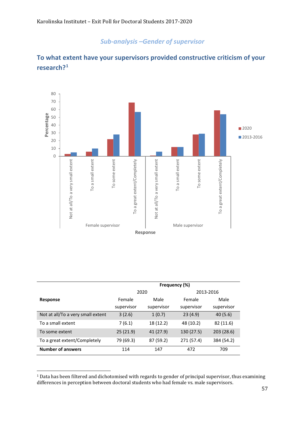

## **To what extent have your supervisors provided constructive criticism of your research?[1](#page-56-0)**

|                                   | Frequency (%) |            |            |            |  |
|-----------------------------------|---------------|------------|------------|------------|--|
|                                   |               | 2020       |            | 2013-2016  |  |
| Response                          | Female        | Male       | Female     | Male       |  |
|                                   | supervisor    | supervisor | supervisor | supervisor |  |
| Not at all/To a very small extent | 3(2.6)        | 1(0.7)     | 23(4.9)    | 40(5.6)    |  |
| To a small extent                 | 7(6.1)        | 18 (12.2)  | 48 (10.2)  | 82 (11.6)  |  |
| To some extent                    | 25(21.9)      | 41 (27.9)  | 130 (27.5) | 203(28.6)  |  |
| To a great extent/Completely      | 79 (69.3)     | 87 (59.2)  | 271 (57.4) | 384 (54.2) |  |
| <b>Number of answers</b>          | 114           | 147        | 472        | 709        |  |

<span id="page-56-0"></span><sup>&</sup>lt;sup>1</sup> Data has been filtered and dichotomised with regards to gender of principal supervisor, thus examining differences in perception between doctoral students who had female vs. male supervisors.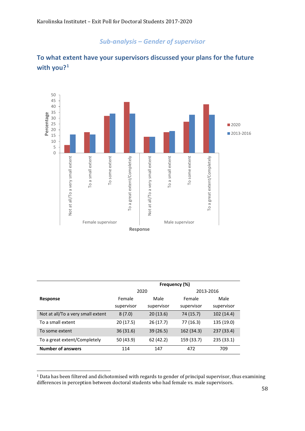

## **To what extent have your supervisors discussed your plans for the future with you?[1](#page-57-0)**

|                                   | Frequency (%) |            |            |            |
|-----------------------------------|---------------|------------|------------|------------|
|                                   |               | 2020       |            | 2013-2016  |
| Response                          | Female        | Male       | Female     | Male       |
|                                   | supervisor    | supervisor | supervisor | supervisor |
| Not at all/To a very small extent | 8(7.0)        | 20(13.6)   | 74 (15.7)  | 102 (14.4) |
| To a small extent                 | 20 (17.5)     | 26(17.7)   | 77 (16.3)  | 135 (19.0) |
| To some extent                    | 36(31.6)      | 39(26.5)   | 162 (34.3) | 237 (33.4) |
| To a great extent/Completely      | 50 (43.9)     | 62 (42.2)  | 159 (33.7) | 235 (33.1) |
| <b>Number of answers</b>          | 114           | 147        | 472        | 709        |

<span id="page-57-0"></span><sup>&</sup>lt;sup>1</sup> Data has been filtered and dichotomised with regards to gender of principal supervisor, thus examining differences in perception between doctoral students who had female vs. male supervisors.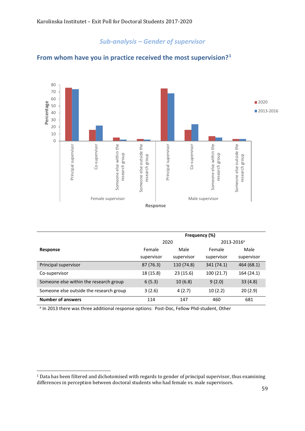

#### **From whom have you in practice received the most supervision?[1](#page-58-0)**

|                                         | Frequency (%) |            |                        |            |
|-----------------------------------------|---------------|------------|------------------------|------------|
|                                         |               | 2020       | 2013-2016 <sup>a</sup> |            |
| Response                                | Female        | Male       | Female                 | Male       |
|                                         | supervisor    | supervisor | supervisor             | supervisor |
| Principal supervisor                    | 87 (76.3)     | 110 (74.8) | 341 (74.1)             | 464 (68.1) |
| Co-supervisor                           | 18 (15.8)     | 23(15.6)   | 100(21.7)              | 164 (24.1) |
| Someone else within the research group  | 6(5.3)        | 10(6.8)    | 9(2.0)                 | 33(4.8)    |
| Someone else outside the research group | 3(2.6)        | 4(2.7)     | 10(2.2)                | 20(2.9)    |
| <b>Number of answers</b>                | 114           | 147        | 460                    | 681        |

<sup>a</sup> In 2013 there was three additional response options: Post-Doc, Fellow Phd-student, Other

<span id="page-58-0"></span><sup>&</sup>lt;sup>1</sup> Data has been filtered and dichotomised with regards to gender of principal supervisor, thus examining differences in perception between doctoral students who had female vs. male supervisors.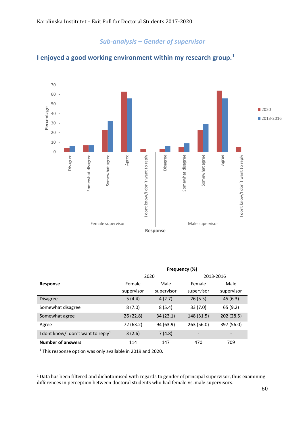#### 70 60 50 Percentage ■2020 **Percentage** 40 ■ 2013-2016 30 20 10 0 Disagree Somewhat disagree Somewhat agree Agree Somewhat disagree Somewhat agree Agree Disagree I dont know/I don't want to reply I dont know/I don't want to reply Somewhat disagree Somewhat agree I dont know/I don´t want to reply Somewhat disagree Somewhat agree I dont know/I don´t want to reply Female supervisor **Female** supervisor **Response**

#### **I enjoyed a good working environment within my research group.[1](#page-59-0)**

|                                                | Frequency (%) |            |            |                          |
|------------------------------------------------|---------------|------------|------------|--------------------------|
|                                                |               | 2020       | 2013-2016  |                          |
| <b>Response</b>                                | Female        | Male       | Female     | Male                     |
|                                                | supervisor    | supervisor | supervisor | supervisor               |
| <b>Disagree</b>                                | 5(4.4)        | 4(2.7)     | 26(5.5)    | 45(6.3)                  |
| Somewhat disagree                              | 8(7.0)        | 8(5.4)     | 33(7.0)    | 65 (9.2)                 |
| Somewhat agree                                 | 26 (22.8)     | 34(23.1)   | 148 (31.5) | 202 (28.5)               |
| Agree                                          | 72 (63.2)     | 94 (63.9)  | 263 (56.0) | 397 (56.0)               |
| I dont know/I don't want to reply <sup>1</sup> | 3(2.6)        | 7(4.8)     | -          | $\overline{\phantom{0}}$ |
| <b>Number of answers</b>                       | 114           | 147        | 470        | 709                      |

<sup>1</sup> This response option was only available in 2019 and 2020.

<span id="page-59-0"></span><sup>&</sup>lt;sup>1</sup> Data has been filtered and dichotomised with regards to gender of principal supervisor, thus examining differences in perception between doctoral students who had female vs. male supervisors.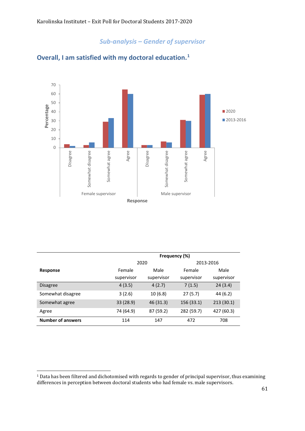

## **Overall, I am satisfied with my doctoral education.[1](#page-60-0)**

|                          | Frequency (%) |            |            |            |
|--------------------------|---------------|------------|------------|------------|
|                          | 2020          |            | 2013-2016  |            |
| Response                 | Female        | Male       | Female     | Male       |
|                          | supervisor    | supervisor | supervisor | supervisor |
| <b>Disagree</b>          | 4(3.5)        | 4(2.7)     | 7(1.5)     | 24(3.4)    |
| Somewhat disagree        | 3(2.6)        | 10(6.8)    | 27(5.7)    | 44 (6.2)   |
| Somewhat agree           | 33 (28.9)     | 46(31.3)   | 156 (33.1) | 213(30.1)  |
| Agree                    | 74 (64.9)     | 87 (59.2)  | 282 (59.7) | 427 (60.3) |
| <b>Number of answers</b> | 114           | 147        | 472        | 708        |

<span id="page-60-0"></span><sup>&</sup>lt;sup>1</sup> Data has been filtered and dichotomised with regards to gender of principal supervisor, thus examining differences in perception between doctoral students who had female vs. male supervisors.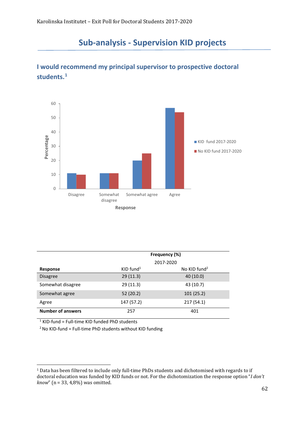

## <span id="page-61-0"></span>**I would recommend my principal supervisor to prospective doctoral students.[1](#page-61-1)**

|                          | Frequency (%)           |                          |
|--------------------------|-------------------------|--------------------------|
|                          |                         | 2017-2020                |
| Response                 | $KID$ fund <sup>1</sup> | No KID fund <sup>2</sup> |
| <b>Disagree</b>          | 29(11.3)                | 40 (10.0)                |
| Somewhat disagree        | 29 (11.3)               | 43 (10.7)                |
| Somewhat agree           | 52(20.2)                | 101(25.2)                |
| Agree                    | 147 (57.2)              | 217(54.1)                |
| <b>Number of answers</b> | 257                     | 401                      |

 $1$  KID-fund = Full-time KID funded PhD students

<span id="page-61-1"></span><sup>1</sup> Data has been filtered to include only full-time PhDs students and dichotomised with regards to if doctoral education was funded by KID funds or not. For the dichotomization the response option "*I don't know*" (n = 33, 4,8%) was omitted.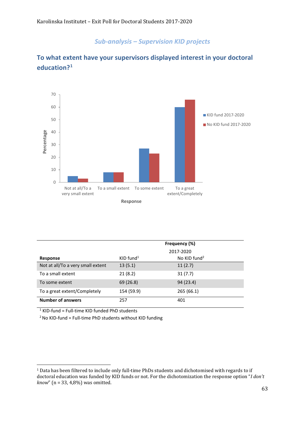

## **To what extent have your supervisors displayed interest in your doctoral education?[1](#page-62-0)**

|                                   | Frequency (%)           |                          |  |
|-----------------------------------|-------------------------|--------------------------|--|
|                                   |                         | 2017-2020                |  |
| <b>Response</b>                   | $KID$ fund <sup>1</sup> | No KID fund <sup>2</sup> |  |
| Not at all/To a very small extent | 13(5.1)                 | 11(2.7)                  |  |
| To a small extent                 | 21(8.2)                 | 31(7.7)                  |  |
| To some extent                    | 69 (26.8)               | 94 (23.4)                |  |
| To a great extent/Completely      | 154 (59.9)              | 265 (66.1)               |  |
| <b>Number of answers</b>          | 257                     | 401                      |  |

 $1$  KID-fund = Full-time KID funded PhD students

<span id="page-62-0"></span><sup>1</sup> Data has been filtered to include only full-time PhDs students and dichotomised with regards to if doctoral education was funded by KID funds or not. For the dichotomization the response option "*I don't know*" (n = 33, 4,8%) was omitted.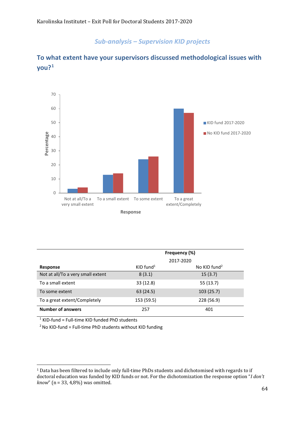

## **To what extent have your supervisors discussed methodological issues with you?[1](#page-63-0)**

|                                   | Frequency (%)           |                          |  |
|-----------------------------------|-------------------------|--------------------------|--|
|                                   | 2017-2020               |                          |  |
| <b>Response</b>                   | $KID$ fund <sup>1</sup> | No KID fund <sup>2</sup> |  |
| Not at all/To a very small extent | 8(3.1)                  | 15(3.7)                  |  |
| To a small extent                 | 33 (12.8)               | 55 (13.7)                |  |
| To some extent                    | 63 (24.5)               | 103(25.7)                |  |
| To a great extent/Completely      | 153 (59.5)              | 228 (56.9)               |  |
| <b>Number of answers</b>          | 257                     | 401                      |  |

 $1$  KID-fund = Full-time KID funded PhD students

<span id="page-63-0"></span><sup>1</sup> Data has been filtered to include only full-time PhDs students and dichotomised with regards to if doctoral education was funded by KID funds or not. For the dichotomization the response option "*I don't know*" (n = 33, 4,8%) was omitted.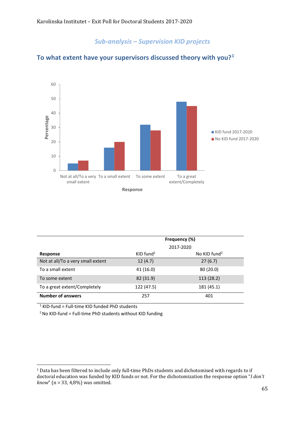

#### **To what extent have your supervisors discussed theory with you?[1](#page-64-0)**

|                                   | Frequency (%)           |                          |  |
|-----------------------------------|-------------------------|--------------------------|--|
|                                   | 2017-2020               |                          |  |
| Response                          | $KID$ fund <sup>1</sup> | No KID fund <sup>2</sup> |  |
| Not at all/To a very small extent | 12(4.7)                 | 27(6.7)                  |  |
| To a small extent                 | 41 (16.0)               | 80(20.0)                 |  |
| To some extent                    | 82 (31.9)               | 113 (28.2)               |  |
| To a great extent/Completely      | 122 (47.5)              | 181 (45.1)               |  |
| <b>Number of answers</b>          | 257                     | 401                      |  |

 $1$  KID-fund = Full-time KID funded PhD students

<span id="page-64-0"></span><sup>1</sup> Data has been filtered to include only full-time PhDs students and dichotomised with regards to if doctoral education was funded by KID funds or not. For the dichotomization the response option "*I don't know*" (n = 33, 4,8%) was omitted.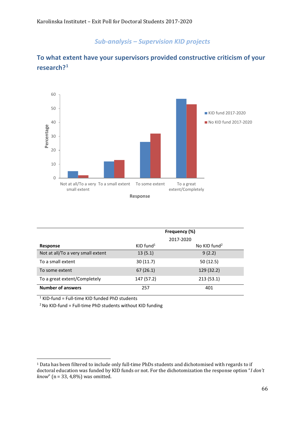

## **To what extent have your supervisors provided constructive criticism of your research?[1](#page-65-0)**

|                                   | Frequency (%)<br>2017-2020 |                          |  |
|-----------------------------------|----------------------------|--------------------------|--|
| Response                          | $KID$ fund <sup>1</sup>    | No KID fund <sup>2</sup> |  |
| Not at all/To a very small extent | 13(5.1)                    | 9(2.2)                   |  |
| To a small extent                 | 30(11.7)                   | 50(12.5)                 |  |
| To some extent                    | 67(26.1)                   | 129 (32.2)               |  |
| To a great extent/Completely      | 147 (57.2)                 | 213(53.1)                |  |
| <b>Number of answers</b>          | 257                        | 401                      |  |

 $1$  KID-fund = Full-time KID funded PhD students

<span id="page-65-0"></span><sup>1</sup> Data has been filtered to include only full-time PhDs students and dichotomised with regards to if doctoral education was funded by KID funds or not. For the dichotomization the response option "*I don't know*" (n = 33, 4,8%) was omitted.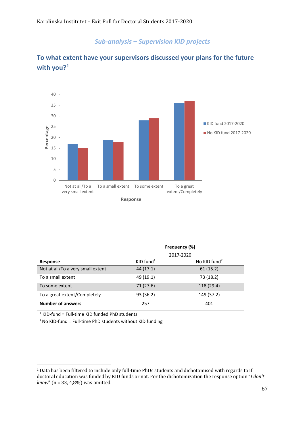

## **To what extent have your supervisors discussed your plans for the future with you?[1](#page-66-0)**

|                                   | Frequency (%)           |                          |  |
|-----------------------------------|-------------------------|--------------------------|--|
|                                   |                         | 2017-2020                |  |
| <b>Response</b>                   | $KID$ fund <sup>1</sup> | No KID fund <sup>2</sup> |  |
| Not at all/To a very small extent | 44 (17.1)               | 61(15.2)                 |  |
| To a small extent                 | 49 (19.1)               | 73 (18.2)                |  |
| To some extent                    | 71 (27.6)               | 118 (29.4)               |  |
| To a great extent/Completely      | 93 (36.2)               | 149 (37.2)               |  |
| <b>Number of answers</b>          | 257                     | 401                      |  |

 $1$  KID-fund = Full-time KID funded PhD students

<span id="page-66-0"></span><sup>1</sup> Data has been filtered to include only full-time PhDs students and dichotomised with regards to if doctoral education was funded by KID funds or not. For the dichotomization the response option "*I don't know*" (n = 33, 4,8%) was omitted.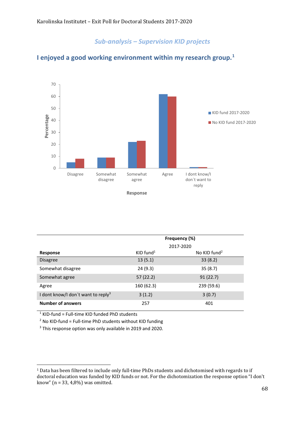

#### **I enjoyed a good working environment within my research group.[1](#page-67-0)**

|                                                | Frequency (%)           |                          |  |
|------------------------------------------------|-------------------------|--------------------------|--|
|                                                |                         | 2017-2020                |  |
| Response                                       | $KID$ fund <sup>1</sup> | No KID fund <sup>2</sup> |  |
| <b>Disagree</b>                                | 13(5.1)                 | 33(8.2)                  |  |
| Somewhat disagree                              | 24(9.3)                 | 35(8.7)                  |  |
| Somewhat agree                                 | 57(22.2)                | 91(22.7)                 |  |
| Agree                                          | 160 (62.3)              | 239 (59.6)               |  |
| I dont know/I don't want to reply <sup>3</sup> | 3(1.2)                  | 3(0.7)                   |  |
| <b>Number of answers</b>                       | 257                     | 401                      |  |

 $1$  KID-fund = Full-time KID funded PhD students

 $2$  No KID-fund = Full-time PhD students without KID funding

<sup>3</sup> This response option was only available in 2019 and 2020.

<span id="page-67-0"></span><sup>1</sup> Data has been filtered to include only full-time PhDs students and dichotomised with regards to if doctoral education was funded by KID funds or not. For the dichotomization the response option "I don't know" (n = 33, 4,8%) was omitted.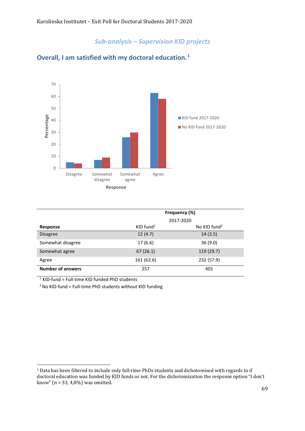

## **Overall, I am satisfied with my doctoral education.[1](#page-68-0)**

|                          |                         | Frequency (%)            |  |  |
|--------------------------|-------------------------|--------------------------|--|--|
|                          |                         | 2017-2020                |  |  |
| Response                 | $KID$ fund <sup>1</sup> | No KID fund <sup>2</sup> |  |  |
| <b>Disagree</b>          | 12(4.7)                 | 14(3.5)                  |  |  |
| Somewhat disagree        | 17(6.6)                 | 36(9.0)                  |  |  |
| Somewhat agree           | 67(26.1)                | 119 (29.7)               |  |  |
| Agree                    | 161 (62.6)              | 232 (57.9)               |  |  |
| <b>Number of answers</b> | 257                     | 401                      |  |  |

 $1$  KID-fund = Full-time KID funded PhD students

<span id="page-68-0"></span><sup>1</sup> Data has been filtered to include only full-time PhDs students and dichotomised with regards to if doctoral education was funded by KID funds or not. For the dichotomization the response option "I don't know" (n = 33, 4,8%) was omitted.